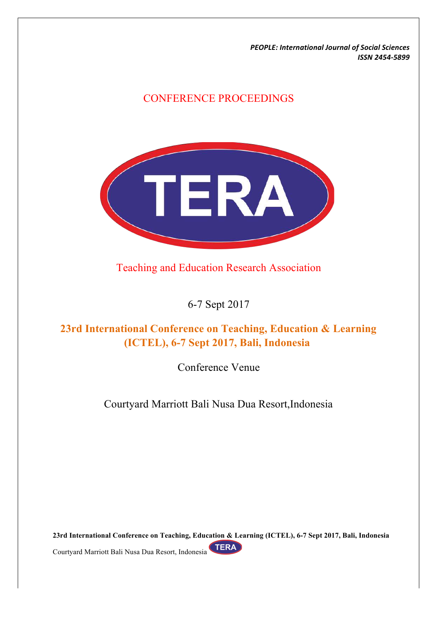# CONFERENCE PROCEEDINGS



Teaching and Education Research Association

6-7 Sept 2017

## **23rd International Conference on Teaching, Education & Learning (ICTEL), 6-7 Sept 2017, Bali, Indonesia**

Conference Venue

Courtyard Marriott Bali Nusa Dua Resort,Indonesia

**23rd International Conference on Teaching, Education & Learning (ICTEL), 6-7 Sept 2017, Bali, Indonesia** TERA Courtyard Marriott Bali Nusa Dua Resort, Indonesia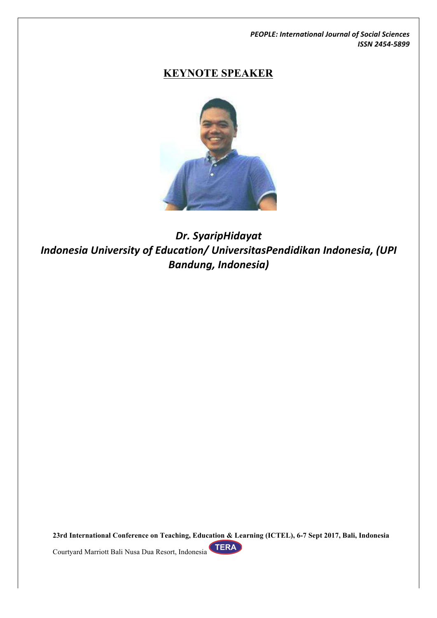## **KEYNOTE SPEAKER**



*Dr. SyaripHidayat* **Indonesia University of Education/ UniversitasPendidikan Indonesia, (UPI** *Bandung, Indonesia)*

**23rd International Conference on Teaching, Education & Learning (ICTEL), 6-7 Sept 2017, Bali, Indonesia** TERA Courtyard Marriott Bali Nusa Dua Resort, Indonesia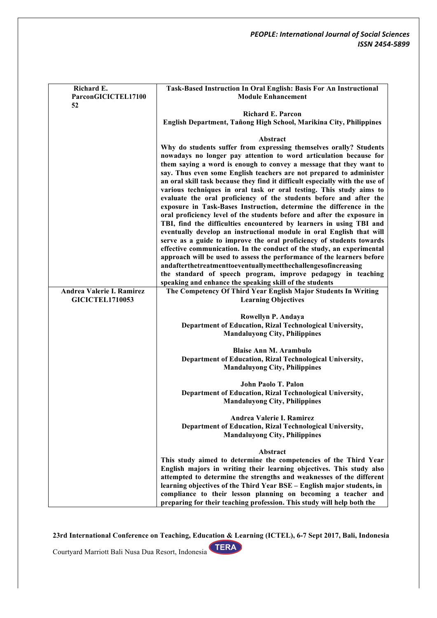| Richard E.<br>ParconGICICTEL17100                   | Task-Based Instruction In Oral English: Basis For An Instructional<br><b>Module Enhancement</b>                                                                                                                                                                                                                                                                                                                                                                                                                                                                                                                                                                                                                                                                                                                                                                                                                                                                                                                                                                                                                                                                                                                                           |
|-----------------------------------------------------|-------------------------------------------------------------------------------------------------------------------------------------------------------------------------------------------------------------------------------------------------------------------------------------------------------------------------------------------------------------------------------------------------------------------------------------------------------------------------------------------------------------------------------------------------------------------------------------------------------------------------------------------------------------------------------------------------------------------------------------------------------------------------------------------------------------------------------------------------------------------------------------------------------------------------------------------------------------------------------------------------------------------------------------------------------------------------------------------------------------------------------------------------------------------------------------------------------------------------------------------|
| 52                                                  | <b>Richard E. Parcon</b>                                                                                                                                                                                                                                                                                                                                                                                                                                                                                                                                                                                                                                                                                                                                                                                                                                                                                                                                                                                                                                                                                                                                                                                                                  |
|                                                     | English Department, Tañong High School, Marikina City, Philippines                                                                                                                                                                                                                                                                                                                                                                                                                                                                                                                                                                                                                                                                                                                                                                                                                                                                                                                                                                                                                                                                                                                                                                        |
|                                                     | Abstract                                                                                                                                                                                                                                                                                                                                                                                                                                                                                                                                                                                                                                                                                                                                                                                                                                                                                                                                                                                                                                                                                                                                                                                                                                  |
|                                                     | Why do students suffer from expressing themselves orally? Students<br>nowadays no longer pay attention to word articulation because for<br>them saying a word is enough to convey a message that they want to<br>say. Thus even some English teachers are not prepared to administer<br>an oral skill task because they find it difficult especially with the use of<br>various techniques in oral task or oral testing. This study aims to<br>evaluate the oral proficiency of the students before and after the<br>exposure in Task-Bases Instruction, determine the difference in the<br>oral proficiency level of the students before and after the exposure in<br>TBI, find the difficulties encountered by learners in using TBI and<br>eventually develop an instructional module in oral English that will<br>serve as a guide to improve the oral proficiency of students towards<br>effective communication. In the conduct of the study, an experimental<br>approach will be used to assess the performance of the learners before<br>andafterthetreatmenttoeventuallymeetthechallengesofincreasing<br>the standard of speech program, improve pedagogy in teaching<br>speaking and enhance the speaking skill of the students |
| Andrea Valerie I. Ramirez<br><b>GICICTEL1710053</b> | The Competency Of Third Year English Major Students In Writing<br><b>Learning Objectives</b>                                                                                                                                                                                                                                                                                                                                                                                                                                                                                                                                                                                                                                                                                                                                                                                                                                                                                                                                                                                                                                                                                                                                              |
|                                                     | Rowellyn P. Andaya<br>Department of Education, Rizal Technological University,<br><b>Mandaluyong City, Philippines</b>                                                                                                                                                                                                                                                                                                                                                                                                                                                                                                                                                                                                                                                                                                                                                                                                                                                                                                                                                                                                                                                                                                                    |
|                                                     | <b>Blaise Ann M. Arambulo</b><br>Department of Education, Rizal Technological University,<br><b>Mandaluyong City, Philippines</b>                                                                                                                                                                                                                                                                                                                                                                                                                                                                                                                                                                                                                                                                                                                                                                                                                                                                                                                                                                                                                                                                                                         |
|                                                     | John Paolo T. Palon<br>Department of Education, Rizal Technological University,<br><b>Mandaluyong City, Philippines</b>                                                                                                                                                                                                                                                                                                                                                                                                                                                                                                                                                                                                                                                                                                                                                                                                                                                                                                                                                                                                                                                                                                                   |
|                                                     | Andrea Valerie I. Ramirez<br>Department of Education, Rizal Technological University,<br><b>Mandaluyong City, Philippines</b>                                                                                                                                                                                                                                                                                                                                                                                                                                                                                                                                                                                                                                                                                                                                                                                                                                                                                                                                                                                                                                                                                                             |
|                                                     | Abstract<br>This study aimed to determine the competencies of the Third Year<br>English majors in writing their learning objectives. This study also<br>attempted to determine the strengths and weaknesses of the different<br>learning objectives of the Third Year BSE - English major students, in<br>compliance to their lesson planning on becoming a teacher and<br>preparing for their teaching profession. This study will help both the                                                                                                                                                                                                                                                                                                                                                                                                                                                                                                                                                                                                                                                                                                                                                                                         |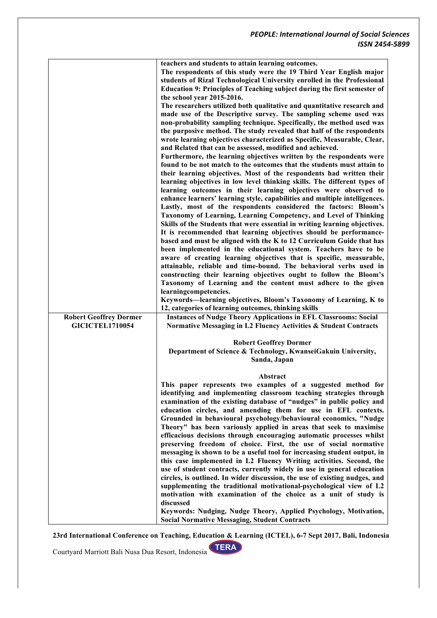|                                                         | teachers and students to attain learning outcomes.<br>The respondents of this study were the 19 Third Year English major<br>students of Rizal Technological University enrolled in the Professional<br>Education 9: Principles of Teaching subject during the first semester of<br>the school year 2015-2016.<br>The researchers utilized both qualitative and quantitative research and<br>made use of the Descriptive survey. The sampling scheme used was<br>non-probability sampling technique. Specifically, the method used was<br>the purposive method. The study revealed that half of the respondents<br>wrote learning objectives characterized as Specific, Measurable, Clear,<br>and Related that can be assessed, modified and achieved.<br>Furthermore, the learning objectives written by the respondents were<br>found to be not match to the outcomes that the students must attain to<br>their learning objectives. Most of the respondents had written their<br>learning objectives in low level thinking skills. The different types of<br>learning outcomes in their learning objectives were observed to<br>enhance learners' learning style, capabilities and multiple intelligences.<br>Lastly, most of the respondents considered the factors: Bloom's<br>Taxonomy of Learning, Learning Competency, and Level of Thinking<br>Skills of the Students that were essential in writing learning objectives.<br>It is recommended that learning objectives should be performance-<br>based and must be aligned with the K to 12 Curriculum Guide that has<br>been implemented in the educational system. Teachers have to be<br>aware of creating learning objectives that is specific, measurable,<br>attainable, reliable and time-bound. The behavioral verbs used in<br>constructing their learning objectives ought to follow the Bloom's<br>Taxonomy of Learning and the content must adhere to the given |
|---------------------------------------------------------|--------------------------------------------------------------------------------------------------------------------------------------------------------------------------------------------------------------------------------------------------------------------------------------------------------------------------------------------------------------------------------------------------------------------------------------------------------------------------------------------------------------------------------------------------------------------------------------------------------------------------------------------------------------------------------------------------------------------------------------------------------------------------------------------------------------------------------------------------------------------------------------------------------------------------------------------------------------------------------------------------------------------------------------------------------------------------------------------------------------------------------------------------------------------------------------------------------------------------------------------------------------------------------------------------------------------------------------------------------------------------------------------------------------------------------------------------------------------------------------------------------------------------------------------------------------------------------------------------------------------------------------------------------------------------------------------------------------------------------------------------------------------------------------------------------------------------------------------------------------------------------------------------------------------------------------|
|                                                         | learningcompetencies.                                                                                                                                                                                                                                                                                                                                                                                                                                                                                                                                                                                                                                                                                                                                                                                                                                                                                                                                                                                                                                                                                                                                                                                                                                                                                                                                                                                                                                                                                                                                                                                                                                                                                                                                                                                                                                                                                                                |
|                                                         | Keywords-learning objectives, Bloom's Taxonomy of Learning, K to<br>12, categories of learning outcomes, thinking skills                                                                                                                                                                                                                                                                                                                                                                                                                                                                                                                                                                                                                                                                                                                                                                                                                                                                                                                                                                                                                                                                                                                                                                                                                                                                                                                                                                                                                                                                                                                                                                                                                                                                                                                                                                                                             |
| <b>Robert Geoffrey Dormer</b><br><b>GICICTEL1710054</b> | <b>Instances of Nudge Theory Applications in EFL Classrooms: Social</b><br>Normative Messaging in L2 Fluency Activities & Student Contracts                                                                                                                                                                                                                                                                                                                                                                                                                                                                                                                                                                                                                                                                                                                                                                                                                                                                                                                                                                                                                                                                                                                                                                                                                                                                                                                                                                                                                                                                                                                                                                                                                                                                                                                                                                                          |
|                                                         | <b>Robert Geoffrey Dormer</b><br>Department of Science & Technology, KwanseiGakuin University,<br>Sanda, Japan                                                                                                                                                                                                                                                                                                                                                                                                                                                                                                                                                                                                                                                                                                                                                                                                                                                                                                                                                                                                                                                                                                                                                                                                                                                                                                                                                                                                                                                                                                                                                                                                                                                                                                                                                                                                                       |
|                                                         |                                                                                                                                                                                                                                                                                                                                                                                                                                                                                                                                                                                                                                                                                                                                                                                                                                                                                                                                                                                                                                                                                                                                                                                                                                                                                                                                                                                                                                                                                                                                                                                                                                                                                                                                                                                                                                                                                                                                      |
|                                                         | Abstract<br>This paper represents two examples of a suggested method for<br>identifying and implementing classroom teaching strategies through<br>examination of the existing database of "nudges" in public policy and<br>education circles, and amending them for use in EFL contexts.<br>Grounded in behavioural psychology/behavioural economics, "Nudge<br>Theory" has been variously applied in areas that seek to maximise<br>efficacious decisions through encouraging automatic processes whilst<br>preserving freedom of choice. First, the use of social normative                                                                                                                                                                                                                                                                                                                                                                                                                                                                                                                                                                                                                                                                                                                                                                                                                                                                                                                                                                                                                                                                                                                                                                                                                                                                                                                                                        |
|                                                         | messaging is shown to be a useful tool for increasing student output, in<br>this case implemented in L2 Fluency Writing activities. Second, the<br>use of student contracts, currently widely in use in general education<br>circles, is outlined. In wider discussion, the use of existing nudges, and<br>supplementing the traditional motivational-psychological view of L2<br>motivation with examination of the choice as a unit of study is<br>discussed                                                                                                                                                                                                                                                                                                                                                                                                                                                                                                                                                                                                                                                                                                                                                                                                                                                                                                                                                                                                                                                                                                                                                                                                                                                                                                                                                                                                                                                                       |
|                                                         | Keywords: Nudging, Nudge Theory, Applied Psychology, Motivation,<br><b>Social Normative Messaging, Student Contracts</b>                                                                                                                                                                                                                                                                                                                                                                                                                                                                                                                                                                                                                                                                                                                                                                                                                                                                                                                                                                                                                                                                                                                                                                                                                                                                                                                                                                                                                                                                                                                                                                                                                                                                                                                                                                                                             |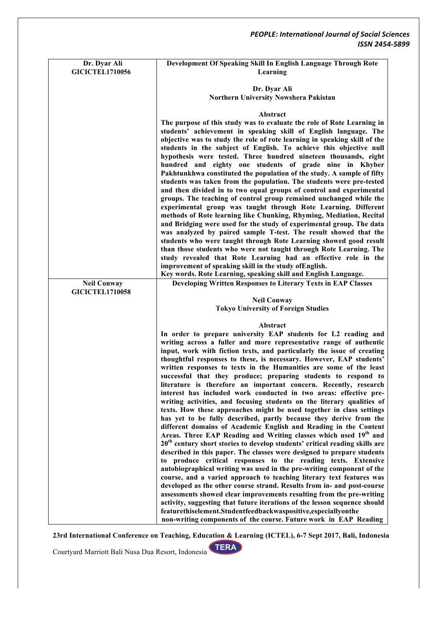| Dr. Dyar Ali           | Development Of Speaking Skill In English Language Through Rote                                                                                                                                                                                                                                                                                                                                                                                                                                                                                                                                                                                                                                                                                                                                                                                                                                                                                                                                                                                                                                                                                                                                                                                                                                                                                                                                                                                                                          |
|------------------------|-----------------------------------------------------------------------------------------------------------------------------------------------------------------------------------------------------------------------------------------------------------------------------------------------------------------------------------------------------------------------------------------------------------------------------------------------------------------------------------------------------------------------------------------------------------------------------------------------------------------------------------------------------------------------------------------------------------------------------------------------------------------------------------------------------------------------------------------------------------------------------------------------------------------------------------------------------------------------------------------------------------------------------------------------------------------------------------------------------------------------------------------------------------------------------------------------------------------------------------------------------------------------------------------------------------------------------------------------------------------------------------------------------------------------------------------------------------------------------------------|
| <b>GICICTEL1710056</b> | Learning                                                                                                                                                                                                                                                                                                                                                                                                                                                                                                                                                                                                                                                                                                                                                                                                                                                                                                                                                                                                                                                                                                                                                                                                                                                                                                                                                                                                                                                                                |
|                        | Dr. Dyar Ali                                                                                                                                                                                                                                                                                                                                                                                                                                                                                                                                                                                                                                                                                                                                                                                                                                                                                                                                                                                                                                                                                                                                                                                                                                                                                                                                                                                                                                                                            |
|                        | <b>Northern University Nowshera Pakistan</b>                                                                                                                                                                                                                                                                                                                                                                                                                                                                                                                                                                                                                                                                                                                                                                                                                                                                                                                                                                                                                                                                                                                                                                                                                                                                                                                                                                                                                                            |
|                        | Abstract                                                                                                                                                                                                                                                                                                                                                                                                                                                                                                                                                                                                                                                                                                                                                                                                                                                                                                                                                                                                                                                                                                                                                                                                                                                                                                                                                                                                                                                                                |
|                        | The purpose of this study was to evaluate the role of Rote Learning in                                                                                                                                                                                                                                                                                                                                                                                                                                                                                                                                                                                                                                                                                                                                                                                                                                                                                                                                                                                                                                                                                                                                                                                                                                                                                                                                                                                                                  |
|                        | students' achievement in speaking skill of English language. The<br>objective was to study the role of rote learning in speaking skill of the                                                                                                                                                                                                                                                                                                                                                                                                                                                                                                                                                                                                                                                                                                                                                                                                                                                                                                                                                                                                                                                                                                                                                                                                                                                                                                                                           |
|                        | students in the subject of English. To achieve this objective null                                                                                                                                                                                                                                                                                                                                                                                                                                                                                                                                                                                                                                                                                                                                                                                                                                                                                                                                                                                                                                                                                                                                                                                                                                                                                                                                                                                                                      |
|                        | hypothesis were tested. Three hundred nineteen thousands, eight<br>hundred and eighty one students of grade nine in Khyber                                                                                                                                                                                                                                                                                                                                                                                                                                                                                                                                                                                                                                                                                                                                                                                                                                                                                                                                                                                                                                                                                                                                                                                                                                                                                                                                                              |
|                        | Pakhtunkhwa constituted the population of the study. A sample of fifty                                                                                                                                                                                                                                                                                                                                                                                                                                                                                                                                                                                                                                                                                                                                                                                                                                                                                                                                                                                                                                                                                                                                                                                                                                                                                                                                                                                                                  |
|                        | students was taken from the population. The students were pre-tested                                                                                                                                                                                                                                                                                                                                                                                                                                                                                                                                                                                                                                                                                                                                                                                                                                                                                                                                                                                                                                                                                                                                                                                                                                                                                                                                                                                                                    |
|                        |                                                                                                                                                                                                                                                                                                                                                                                                                                                                                                                                                                                                                                                                                                                                                                                                                                                                                                                                                                                                                                                                                                                                                                                                                                                                                                                                                                                                                                                                                         |
|                        | experimental group was taught through Rote Learning. Different                                                                                                                                                                                                                                                                                                                                                                                                                                                                                                                                                                                                                                                                                                                                                                                                                                                                                                                                                                                                                                                                                                                                                                                                                                                                                                                                                                                                                          |
|                        |                                                                                                                                                                                                                                                                                                                                                                                                                                                                                                                                                                                                                                                                                                                                                                                                                                                                                                                                                                                                                                                                                                                                                                                                                                                                                                                                                                                                                                                                                         |
|                        | was analyzed by paired sample T-test. The result showed that the                                                                                                                                                                                                                                                                                                                                                                                                                                                                                                                                                                                                                                                                                                                                                                                                                                                                                                                                                                                                                                                                                                                                                                                                                                                                                                                                                                                                                        |
|                        |                                                                                                                                                                                                                                                                                                                                                                                                                                                                                                                                                                                                                                                                                                                                                                                                                                                                                                                                                                                                                                                                                                                                                                                                                                                                                                                                                                                                                                                                                         |
|                        | study revealed that Rote Learning had an effective role in the                                                                                                                                                                                                                                                                                                                                                                                                                                                                                                                                                                                                                                                                                                                                                                                                                                                                                                                                                                                                                                                                                                                                                                                                                                                                                                                                                                                                                          |
|                        |                                                                                                                                                                                                                                                                                                                                                                                                                                                                                                                                                                                                                                                                                                                                                                                                                                                                                                                                                                                                                                                                                                                                                                                                                                                                                                                                                                                                                                                                                         |
| <b>Neil Conway</b>     | Developing Written Responses to Literary Texts in EAP Classes                                                                                                                                                                                                                                                                                                                                                                                                                                                                                                                                                                                                                                                                                                                                                                                                                                                                                                                                                                                                                                                                                                                                                                                                                                                                                                                                                                                                                           |
|                        |                                                                                                                                                                                                                                                                                                                                                                                                                                                                                                                                                                                                                                                                                                                                                                                                                                                                                                                                                                                                                                                                                                                                                                                                                                                                                                                                                                                                                                                                                         |
|                        | <b>Tokyo University of Foreign Studies</b>                                                                                                                                                                                                                                                                                                                                                                                                                                                                                                                                                                                                                                                                                                                                                                                                                                                                                                                                                                                                                                                                                                                                                                                                                                                                                                                                                                                                                                              |
|                        |                                                                                                                                                                                                                                                                                                                                                                                                                                                                                                                                                                                                                                                                                                                                                                                                                                                                                                                                                                                                                                                                                                                                                                                                                                                                                                                                                                                                                                                                                         |
|                        |                                                                                                                                                                                                                                                                                                                                                                                                                                                                                                                                                                                                                                                                                                                                                                                                                                                                                                                                                                                                                                                                                                                                                                                                                                                                                                                                                                                                                                                                                         |
|                        | writing across a fuller and more representative range of authentic                                                                                                                                                                                                                                                                                                                                                                                                                                                                                                                                                                                                                                                                                                                                                                                                                                                                                                                                                                                                                                                                                                                                                                                                                                                                                                                                                                                                                      |
|                        |                                                                                                                                                                                                                                                                                                                                                                                                                                                                                                                                                                                                                                                                                                                                                                                                                                                                                                                                                                                                                                                                                                                                                                                                                                                                                                                                                                                                                                                                                         |
|                        | written responses to texts in the Humanities are some of the least                                                                                                                                                                                                                                                                                                                                                                                                                                                                                                                                                                                                                                                                                                                                                                                                                                                                                                                                                                                                                                                                                                                                                                                                                                                                                                                                                                                                                      |
|                        |                                                                                                                                                                                                                                                                                                                                                                                                                                                                                                                                                                                                                                                                                                                                                                                                                                                                                                                                                                                                                                                                                                                                                                                                                                                                                                                                                                                                                                                                                         |
|                        | interest has included work conducted in two areas: effective pre-                                                                                                                                                                                                                                                                                                                                                                                                                                                                                                                                                                                                                                                                                                                                                                                                                                                                                                                                                                                                                                                                                                                                                                                                                                                                                                                                                                                                                       |
|                        | writing activities, and focusing students on the literary qualities of                                                                                                                                                                                                                                                                                                                                                                                                                                                                                                                                                                                                                                                                                                                                                                                                                                                                                                                                                                                                                                                                                                                                                                                                                                                                                                                                                                                                                  |
|                        | has yet to be fully described, partly because they derive from the                                                                                                                                                                                                                                                                                                                                                                                                                                                                                                                                                                                                                                                                                                                                                                                                                                                                                                                                                                                                                                                                                                                                                                                                                                                                                                                                                                                                                      |
|                        | different domains of Academic English and Reading in the Content                                                                                                                                                                                                                                                                                                                                                                                                                                                                                                                                                                                                                                                                                                                                                                                                                                                                                                                                                                                                                                                                                                                                                                                                                                                                                                                                                                                                                        |
|                        |                                                                                                                                                                                                                                                                                                                                                                                                                                                                                                                                                                                                                                                                                                                                                                                                                                                                                                                                                                                                                                                                                                                                                                                                                                                                                                                                                                                                                                                                                         |
|                        | described in this paper. The classes were designed to prepare students                                                                                                                                                                                                                                                                                                                                                                                                                                                                                                                                                                                                                                                                                                                                                                                                                                                                                                                                                                                                                                                                                                                                                                                                                                                                                                                                                                                                                  |
|                        |                                                                                                                                                                                                                                                                                                                                                                                                                                                                                                                                                                                                                                                                                                                                                                                                                                                                                                                                                                                                                                                                                                                                                                                                                                                                                                                                                                                                                                                                                         |
|                        | course, and a varied approach to teaching literary text features was                                                                                                                                                                                                                                                                                                                                                                                                                                                                                                                                                                                                                                                                                                                                                                                                                                                                                                                                                                                                                                                                                                                                                                                                                                                                                                                                                                                                                    |
|                        | developed as the other course strand. Results from in- and post-course                                                                                                                                                                                                                                                                                                                                                                                                                                                                                                                                                                                                                                                                                                                                                                                                                                                                                                                                                                                                                                                                                                                                                                                                                                                                                                                                                                                                                  |
|                        | activity, suggesting that future iterations of the lesson sequence should                                                                                                                                                                                                                                                                                                                                                                                                                                                                                                                                                                                                                                                                                                                                                                                                                                                                                                                                                                                                                                                                                                                                                                                                                                                                                                                                                                                                               |
|                        | featurethiselement.Studentfeedbackwaspositive,especiallyonthe                                                                                                                                                                                                                                                                                                                                                                                                                                                                                                                                                                                                                                                                                                                                                                                                                                                                                                                                                                                                                                                                                                                                                                                                                                                                                                                                                                                                                           |
| <b>GICICTEL1710058</b> | and then divided in to two equal groups of control and experimental<br>groups. The teaching of control group remained unchanged while the<br>methods of Rote learning like Chunking, Rhyming, Mediation, Recital<br>and Bridging were used for the study of experimental group. The data<br>students who were taught through Rote Learning showed good result<br>than those students who were not taught through Rote Learning. The<br>improvement of speaking skill in the study of English.<br>Key words. Rote Learning, speaking skill and English Language.<br><b>Neil Conway</b><br>Abstract<br>In order to prepare university EAP students for L2 reading and<br>input, work with fiction texts, and particularly the issue of creating<br>thoughtful responses to these, is necessary. However, EAP students'<br>successful that they produce; preparing students to respond to<br>literature is therefore an important concern. Recently, research<br>texts. How these approaches might be used together in class settings<br>Areas. Three EAP Reading and Writing classes which used 19th and<br>20 <sup>th</sup> century short stories to develop students' critical reading skills are<br>to produce critical responses to the reading texts. Extensive<br>autobiographical writing was used in the pre-writing component of the<br>assessments showed clear improvements resulting from the pre-writing<br>non-writing components of the course. Future work in EAP Reading |

**23rd International Conference on Teaching, Education & Learning (ICTEL), 6-7 Sept 2017, Bali, Indonesia**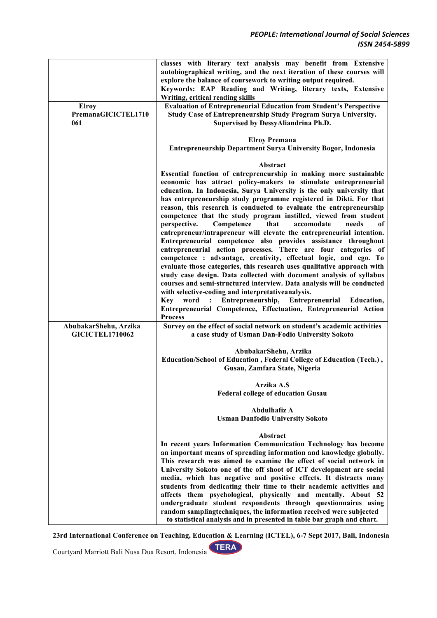|                                                 | classes with literary text analysis may benefit from Extensive<br>autobiographical writing, and the next iteration of these courses will<br>explore the balance of coursework to writing output required.<br>Keywords: EAP Reading and Writing, literary texts, Extensive<br>Writing, critical reading skills                                                                                                                                                                                                                                                                                                                                                                                                                                                                                                                                                                                                                                                                                                                                                                                                                                                                                                                                                         |
|-------------------------------------------------|-----------------------------------------------------------------------------------------------------------------------------------------------------------------------------------------------------------------------------------------------------------------------------------------------------------------------------------------------------------------------------------------------------------------------------------------------------------------------------------------------------------------------------------------------------------------------------------------------------------------------------------------------------------------------------------------------------------------------------------------------------------------------------------------------------------------------------------------------------------------------------------------------------------------------------------------------------------------------------------------------------------------------------------------------------------------------------------------------------------------------------------------------------------------------------------------------------------------------------------------------------------------------|
| <b>Elroy</b><br>PremanaGICICTEL1710<br>061      | <b>Evaluation of Entrepreneurial Education from Student's Perspective</b><br>Study Case of Entrepreneurship Study Program Surya University.<br>Supervised by DessyAliandrina Ph.D.                                                                                                                                                                                                                                                                                                                                                                                                                                                                                                                                                                                                                                                                                                                                                                                                                                                                                                                                                                                                                                                                                    |
|                                                 | <b>Elroy Premana</b><br><b>Entrepreneurship Department Surya University Bogor, Indonesia</b>                                                                                                                                                                                                                                                                                                                                                                                                                                                                                                                                                                                                                                                                                                                                                                                                                                                                                                                                                                                                                                                                                                                                                                          |
|                                                 | Abstract<br>Essential function of entrepreneurship in making more sustainable<br>economic has attract policy-makers to stimulate entrepreneurial<br>education. In Indonesia, Surya University is the only university that<br>has entrepreneurship study programme registered in Dikti. For that<br>reason, this research is conducted to evaluate the entrepreneurship<br>competence that the study program instilled, viewed from student<br>perspective.<br>Competence<br>that<br>accomodate<br>needs<br>оf<br>entrepreneur/intrapreneur will elevate the entrepreneurial intention.<br>Entrepreneurial competence also provides assistance throughout<br>entrepreneurial action processes. There are four categories of<br>competence : advantage, creativity, effectual logic, and ego. To<br>evaluate those categories, this research uses qualitative approach with<br>study case design. Data collected with document analysis of syllabus<br>courses and semi-structured interview. Data analysis will be conducted<br>with selective-coding and interpretative analysis.<br>word<br>Entrepreneurship,<br>Entrepreneurial<br>$\cdot$<br><b>Kev</b><br><b>Education,</b><br>Entrepreneurial Competence, Effectuation, Entrepreneurial Action<br><b>Process</b> |
| AbubakarShehu, Arzika<br><b>GICICTEL1710062</b> | Survey on the effect of social network on student's academic activities<br>a case study of Usman Dan-Fodio University Sokoto                                                                                                                                                                                                                                                                                                                                                                                                                                                                                                                                                                                                                                                                                                                                                                                                                                                                                                                                                                                                                                                                                                                                          |
|                                                 | AbubakarShehu, Arzika<br>Education/School of Education, Federal College of Education (Tech.),<br>Gusau, Zamfara State, Nigeria                                                                                                                                                                                                                                                                                                                                                                                                                                                                                                                                                                                                                                                                                                                                                                                                                                                                                                                                                                                                                                                                                                                                        |
|                                                 | Arzika A.S<br><b>Federal college of education Gusau</b>                                                                                                                                                                                                                                                                                                                                                                                                                                                                                                                                                                                                                                                                                                                                                                                                                                                                                                                                                                                                                                                                                                                                                                                                               |
|                                                 | Abdulhafiz A<br><b>Usman Danfodio University Sokoto</b>                                                                                                                                                                                                                                                                                                                                                                                                                                                                                                                                                                                                                                                                                                                                                                                                                                                                                                                                                                                                                                                                                                                                                                                                               |
|                                                 | Abstract<br>In recent years Information Communication Technology has become<br>an important means of spreading information and knowledge globally.<br>This research was aimed to examine the effect of social network in<br>University Sokoto one of the off shoot of ICT development are social<br>media, which has negative and positive effects. It distracts many<br>students from dedicating their time to their academic activities and<br>affects them psychological, physically and mentally. About 52<br>undergraduate student respondents through questionnaires using<br>random samplingtechniques, the information received were subjected<br>to statistical analysis and in presented in table bar graph and chart.                                                                                                                                                                                                                                                                                                                                                                                                                                                                                                                                      |

**23rd International Conference on Teaching, Education & Learning (ICTEL), 6-7 Sept 2017, Bali, Indonesia**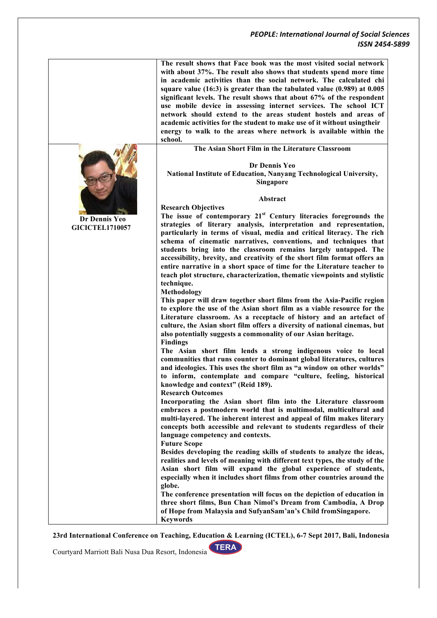|                                         | The result shows that Face book was the most visited social network<br>with about 37%. The result also shows that students spend more time<br>in academic activities than the social network. The calculated chi<br>square value $(16:3)$ is greater than the tabulated value $(0.989)$ at $0.005$<br>significant levels. The result shows that about 67% of the respondent<br>use mobile device in assessing internet services. The school ICT<br>network should extend to the areas student hostels and areas of<br>academic activities for the student to make use of it without usingtheir<br>energy to walk to the areas where network is available within the<br>school. |
|-----------------------------------------|--------------------------------------------------------------------------------------------------------------------------------------------------------------------------------------------------------------------------------------------------------------------------------------------------------------------------------------------------------------------------------------------------------------------------------------------------------------------------------------------------------------------------------------------------------------------------------------------------------------------------------------------------------------------------------|
|                                         | The Asian Short Film in the Literature Classroom<br>Dr Dennis Yeo<br>National Institute of Education, Nanyang Technological University,<br>Singapore<br>Abstract                                                                                                                                                                                                                                                                                                                                                                                                                                                                                                               |
| Dr Dennis Yeo<br><b>GICICTEL1710057</b> | <b>Research Objectives</b><br>The issue of contemporary 21 <sup>st</sup> Century literacies foregrounds the<br>strategies of literary analysis, interpretation and representation,<br>particularly in terms of visual, media and critical literacy. The rich<br>schema of cinematic narratives, conventions, and techniques that<br>students bring into the classroom remains largely untapped. The<br>accessibility, brevity, and creativity of the short film format offers an<br>entire narrative in a short space of time for the Literature teacher to<br>teach plot structure, characterization, thematic viewpoints and stylistic<br>technique.<br>Methodology          |
|                                         | This paper will draw together short films from the Asia-Pacific region<br>to explore the use of the Asian short film as a viable resource for the<br>Literature classroom. As a receptacle of history and an artefact of<br>culture, the Asian short film offers a diversity of national cinemas, but<br>also potentially suggests a commonality of our Asian heritage.                                                                                                                                                                                                                                                                                                        |
|                                         | <b>Findings</b><br>The Asian short film lends a strong indigenous voice to local<br>communities that runs counter to dominant global literatures, cultures<br>and ideologies. This uses the short film as "a window on other worlds"<br>to inform, contemplate and compare "culture, feeling, historical<br>knowledge and context" (Reid 189).<br><b>Research Outcomes</b>                                                                                                                                                                                                                                                                                                     |
|                                         | Incorporating the Asian short film into the Literature classroom<br>embraces a postmodern world that is multimodal, multicultural and<br>multi-layered. The inherent interest and appeal of film makes literary<br>concepts both accessible and relevant to students regardless of their<br>language competency and contexts.<br><b>Future Scope</b>                                                                                                                                                                                                                                                                                                                           |
|                                         | Besides developing the reading skills of students to analyze the ideas,<br>realities and levels of meaning with different text types, the study of the<br>Asian short film will expand the global experience of students,<br>especially when it includes short films from other countries around the<br>globe.                                                                                                                                                                                                                                                                                                                                                                 |
|                                         | The conference presentation will focus on the depiction of education in<br>three short films, Bun Chan Nimol's Dream from Cambodia, A Drop<br>of Hope from Malaysia and SufyanSam'an's Child fromSingapore.<br><b>Keywords</b>                                                                                                                                                                                                                                                                                                                                                                                                                                                 |

**23rd International Conference on Teaching, Education & Learning (ICTEL), 6-7 Sept 2017, Bali, Indonesia**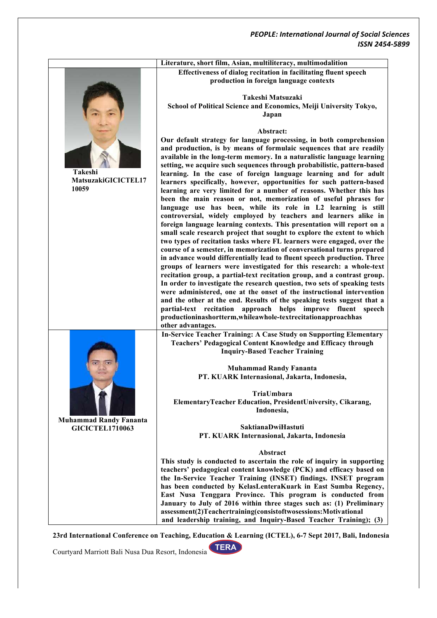

**23rd International Conference on Teaching, Education & Learning (ICTEL), 6-7 Sept 2017, Bali, Indonesia**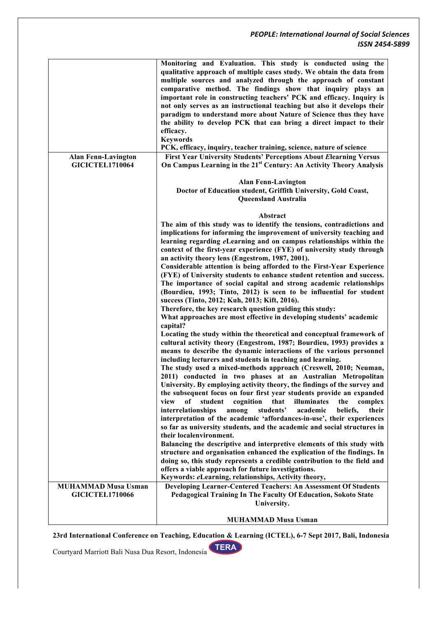|                                                      | Monitoring and Evaluation. This study is conducted using the<br>qualitative approach of multiple cases study. We obtain the data from<br>multiple sources and analyzed through the approach of constant<br>comparative method. The findings show that inquiry plays an<br>important role in constructing teachers' PCK and efficacy. Inquiry is<br>not only serves as an instructional teaching but also it develops their<br>paradigm to understand more about Nature of Science thus they have<br>the ability to develop PCK that can bring a direct impact to their<br>efficacy.<br><b>Keywords</b><br>PCK, efficacy, inquiry, teacher training, science, nature of science |
|------------------------------------------------------|--------------------------------------------------------------------------------------------------------------------------------------------------------------------------------------------------------------------------------------------------------------------------------------------------------------------------------------------------------------------------------------------------------------------------------------------------------------------------------------------------------------------------------------------------------------------------------------------------------------------------------------------------------------------------------|
| <b>Alan Fenn-Lavington</b><br><b>GICICTEL1710064</b> | <b>First Year University Students' Perceptions About Elearning Versus</b><br>On Campus Learning in the 21 <sup>st</sup> Century: An Activity Theory Analysis                                                                                                                                                                                                                                                                                                                                                                                                                                                                                                                   |
|                                                      | <b>Alan Fenn-Lavington</b><br>Doctor of Education student, Griffith University, Gold Coast,<br>Queensland Australia                                                                                                                                                                                                                                                                                                                                                                                                                                                                                                                                                            |
|                                                      |                                                                                                                                                                                                                                                                                                                                                                                                                                                                                                                                                                                                                                                                                |
|                                                      | Abstract<br>The aim of this study was to identify the tensions, contradictions and<br>implications for informing the improvement of university teaching and                                                                                                                                                                                                                                                                                                                                                                                                                                                                                                                    |
|                                                      | learning regarding eLearning and on campus relationships within the<br>context of the first-year experience (FYE) of university study through<br>an activity theory lens (Engestrom, 1987, 2001).                                                                                                                                                                                                                                                                                                                                                                                                                                                                              |
|                                                      | Considerable attention is being afforded to the First-Year Experience<br>(FYE) of University students to enhance student retention and success.<br>The importance of social capital and strong academic relationships                                                                                                                                                                                                                                                                                                                                                                                                                                                          |
|                                                      | (Bourdieu, 1993; Tinto, 2012) is seen to be influential for student<br>success (Tinto, 2012; Kuh, 2013; Kift, 2016).<br>Therefore, the key research question guiding this study:                                                                                                                                                                                                                                                                                                                                                                                                                                                                                               |
|                                                      | What approaches are most effective in developing students' academic<br>capital?                                                                                                                                                                                                                                                                                                                                                                                                                                                                                                                                                                                                |
|                                                      | Locating the study within the theoretical and conceptual framework of<br>cultural activity theory (Engestrom, 1987; Bourdieu, 1993) provides a<br>means to describe the dynamic interactions of the various personnel<br>including lecturers and students in teaching and learning.                                                                                                                                                                                                                                                                                                                                                                                            |
|                                                      | The study used a mixed-methods approach (Creswell, 2010; Neuman,<br>2011) conducted in two phases at an Australian Metropolitan<br>University. By employing activity theory, the findings of the survey and                                                                                                                                                                                                                                                                                                                                                                                                                                                                    |
|                                                      | the subsequent focus on four first year students provide an expanded<br>view<br>of<br>student<br>cognition<br>that<br>illuminates<br>the<br>complex<br>interrelationships<br>students'<br>academic<br>their<br>among<br>beliefs.<br>interpretation of the academic 'affordances-in-use', their experiences<br>so far as university students, and the academic and social structures in<br>their localenvironment.                                                                                                                                                                                                                                                              |
|                                                      | Balancing the descriptive and interpretive elements of this study with<br>structure and organisation enhanced the explication of the findings. In<br>doing so, this study represents a credible contribution to the field and                                                                                                                                                                                                                                                                                                                                                                                                                                                  |
|                                                      | offers a viable approach for future investigations.                                                                                                                                                                                                                                                                                                                                                                                                                                                                                                                                                                                                                            |
|                                                      | Keywords: eLearning, relationships, Activity theory,                                                                                                                                                                                                                                                                                                                                                                                                                                                                                                                                                                                                                           |
| <b>MUHAMMAD Musa Usman</b><br><b>GICICTEL1710066</b> | Developing Learner-Centered Teachers: An Assessment Of Students<br>Pedagogical Training In The Faculty Of Education, Sokoto State<br>University.                                                                                                                                                                                                                                                                                                                                                                                                                                                                                                                               |
|                                                      | <b>MUHAMMAD Musa Usman</b>                                                                                                                                                                                                                                                                                                                                                                                                                                                                                                                                                                                                                                                     |

**23rd International Conference on Teaching, Education & Learning (ICTEL), 6-7 Sept 2017, Bali, Indonesia**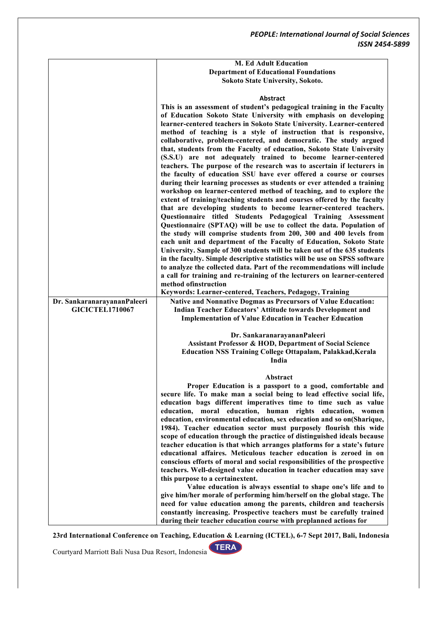|                             | <b>M. Ed Adult Education</b>                                               |
|-----------------------------|----------------------------------------------------------------------------|
|                             |                                                                            |
|                             | <b>Department of Educational Foundations</b>                               |
|                             | <b>Sokoto State University, Sokoto.</b>                                    |
|                             |                                                                            |
|                             | <b>Abstract</b>                                                            |
|                             | This is an assessment of student's pedagogical training in the Faculty     |
|                             | of Education Sokoto State University with emphasis on developing           |
|                             | learner-centered teachers in Sokoto State University. Learner-centered     |
|                             | method of teaching is a style of instruction that is responsive,           |
|                             | collaborative, problem-centered, and democratic. The study argued          |
|                             | that, students from the Faculty of education, Sokoto State University      |
|                             | (S.S.U) are not adequately trained to become learner-centered              |
|                             | teachers. The purpose of the research was to ascertain if lecturers in     |
|                             | the faculty of education SSU have ever offered a course or courses         |
|                             | during their learning processes as students or ever attended a training    |
|                             | workshop on learner-centered method of teaching, and to explore the        |
|                             | extent of training/teaching students and courses offered by the faculty    |
|                             | that are developing students to become learner-centered teachers.          |
|                             |                                                                            |
|                             | Questionnaire titled Students Pedagogical Training Assessment              |
|                             | Questionnaire (SPTAQ) will be use to collect the data. Population of       |
|                             | the study will comprise students from 200, 300 and 400 levels from         |
|                             | each unit and department of the Faculty of Education, Sokoto State         |
|                             | University. Sample of 300 students will be taken out of the 635 students   |
|                             | in the faculty. Simple descriptive statistics will be use on SPSS software |
|                             | to analyze the collected data. Part of the recommendations will include    |
|                             | a call for training and re-training of the lecturers on learner-centered   |
|                             | method ofinstruction                                                       |
|                             | Keywords: Learner-centered, Teachers, Pedagogy, Training                   |
| Dr. SankaranarayananPaleeri | Native and Nonnative Dogmas as Precursors of Value Education:              |
| <b>GICICTEL1710067</b>      | Indian Teacher Educators' Attitude towards Development and                 |
|                             | <b>Implementation of Value Education in Teacher Education</b>              |
|                             |                                                                            |
|                             | Dr. SankaranarayananPaleeri                                                |
|                             | <b>Assistant Professor &amp; HOD, Department of Social Science</b>         |
|                             | <b>Education NSS Training College Ottapalam, Palakkad, Kerala</b>          |
|                             | India                                                                      |
|                             |                                                                            |
|                             | Abstract                                                                   |
|                             | Proper Education is a passport to a good, comfortable and                  |
|                             | secure life. To make man a social being to lead effective social life,     |
|                             | education bags different imperatives time to time such as value            |
|                             | education, moral education, human rights education, women                  |
|                             | education, environmental education, sex education and so on(Sharique,      |
|                             | 1984). Teacher education sector must purposely flourish this wide          |
|                             | scope of education through the practice of distinguished ideals because    |
|                             | teacher education is that which arranges platforms for a state's future    |
|                             | educational affaires. Meticulous teacher education is zeroed in on         |
|                             | conscious efforts of moral and social responsibilities of the prospective  |
|                             | teachers. Well-designed value education in teacher education may save      |
|                             | this purpose to a certainextent.                                           |
|                             | Value education is always essential to shape one's life and to             |
|                             | give him/her morale of performing him/herself on the global stage. The     |
|                             | need for value education among the parents, children and teachersis        |
|                             | constantly increasing. Prospective teachers must be carefully trained      |
|                             | during their teacher education course with preplanned actions for          |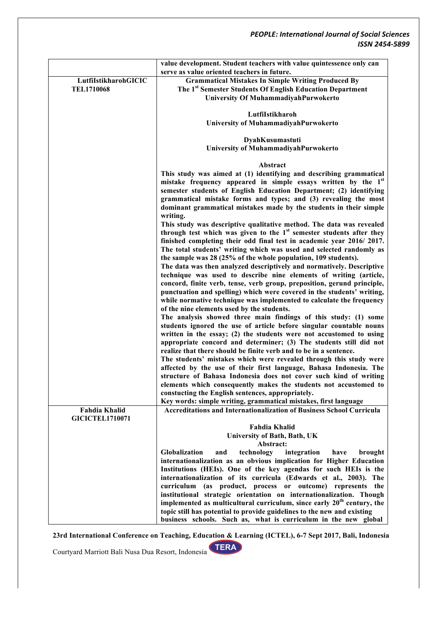|                        | value development. Student teachers with value quintessence only can                                                                              |
|------------------------|---------------------------------------------------------------------------------------------------------------------------------------------------|
|                        | serve as value oriented teachers in future.                                                                                                       |
| LutfiIstikharohGICIC   | <b>Grammatical Mistakes In Simple Writing Produced By</b>                                                                                         |
| <b>TEL1710068</b>      | The 1 <sup>st</sup> Semester Students Of English Education Department                                                                             |
|                        | University Of MuhammadiyahPurwokerto                                                                                                              |
|                        | LutfiIstikharoh                                                                                                                                   |
|                        | University of MuhammadiyahPurwokerto                                                                                                              |
|                        |                                                                                                                                                   |
|                        | DyahKusumastuti                                                                                                                                   |
|                        | University of MuhammadiyahPurwokerto                                                                                                              |
|                        |                                                                                                                                                   |
|                        | Abstract                                                                                                                                          |
|                        | This study was aimed at (1) identifying and describing grammatical                                                                                |
|                        | mistake frequency appeared in simple essays written by the 1 <sup>st</sup><br>semester students of English Education Department; (2) identifying  |
|                        | grammatical mistake forms and types; and (3) revealing the most                                                                                   |
|                        | dominant grammatical mistakes made by the students in their simple                                                                                |
|                        | writing.                                                                                                                                          |
|                        | This study was descriptive qualitative method. The data was revealed                                                                              |
|                        | through test which was given to the $1st$ semester students after they                                                                            |
|                        | finished completing their odd final test in academic year 2016/2017.                                                                              |
|                        | The total students' writing which was used and selected randomly as                                                                               |
|                        | the sample was 28 (25% of the whole population, 109 students).                                                                                    |
|                        | The data was then analyzed descriptively and normatively. Descriptive                                                                             |
|                        | technique was used to describe nine elements of writing (article,                                                                                 |
|                        | concord, finite verb, tense, verb group, preposition, gerund principle,<br>punctuation and spelling) which were covered in the students' writing, |
|                        | while normative technique was implemented to calculate the frequency                                                                              |
|                        | of the nine elements used by the students.                                                                                                        |
|                        | The analysis showed three main findings of this study: (1) some                                                                                   |
|                        | students ignored the use of article before singular countable nouns                                                                               |
|                        | written in the essay; (2) the students were not accustomed to using                                                                               |
|                        | appropriate concord and determiner; (3) The students still did not                                                                                |
|                        | realize that there should be finite verb and to be in a sentence.                                                                                 |
|                        | The students' mistakes which were revealed through this study were                                                                                |
|                        | affected by the use of their first language, Bahasa Indonesia. The                                                                                |
|                        | structure of Bahasa Indonesia does not cover such kind of writing                                                                                 |
|                        | elements which consequently makes the students not accustomed to<br>constucting the English sentences, appropriately.                             |
|                        | Key words: simple writing, grammatical mistakes, first language                                                                                   |
| <b>Fahdia Khalid</b>   | <b>Accreditations and Internationalization of Business School Curricula</b>                                                                       |
| <b>GICICTEL1710071</b> |                                                                                                                                                   |
|                        | <b>Fahdia Khalid</b>                                                                                                                              |
|                        | University of Bath, Bath, UK                                                                                                                      |
|                        | Abstract:                                                                                                                                         |
|                        | Globalization<br>and<br>technology<br>integration<br>have<br>brought                                                                              |
|                        | internationalization as an obvious implication for Higher Education                                                                               |
|                        | Institutions (HEIs). One of the key agendas for such HEIs is the<br>internationalization of its curricula (Edwards et al., 2003). The             |
|                        | (as product, process or outcome) represents the<br>curriculum                                                                                     |
|                        | institutional strategic orientation on internationalization. Though                                                                               |
|                        | implemented as multicultural curriculum, since early 20 <sup>th</sup> century, the                                                                |
|                        | topic still has potential to provide guidelines to the new and existing                                                                           |
|                        | business schools. Such as, what is curriculum in the new global                                                                                   |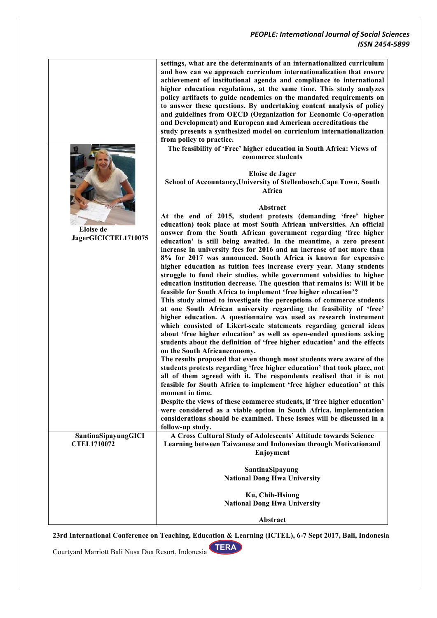|                                          | settings, what are the determinants of an internationalized curriculum<br>and how can we approach curriculum internationalization that ensure<br>achievement of institutional agenda and compliance to international<br>higher education regulations, at the same time. This study analyzes<br>policy artifacts to guide academics on the mandated requirements on<br>to answer these questions. By undertaking content analysis of policy<br>and guidelines from OECD (Organization for Economic Co-operation<br>and Development) and European and American accreditations the<br>study presents a synthesized model on curriculum internationalization<br>from policy to practice.                                            |
|------------------------------------------|---------------------------------------------------------------------------------------------------------------------------------------------------------------------------------------------------------------------------------------------------------------------------------------------------------------------------------------------------------------------------------------------------------------------------------------------------------------------------------------------------------------------------------------------------------------------------------------------------------------------------------------------------------------------------------------------------------------------------------|
|                                          | The feasibility of 'Free' higher education in South Africa: Views of                                                                                                                                                                                                                                                                                                                                                                                                                                                                                                                                                                                                                                                            |
|                                          | commerce students<br><b>Eloise de Jager</b><br>School of Accountancy, University of Stellenbosch, Cape Town, South<br>Africa                                                                                                                                                                                                                                                                                                                                                                                                                                                                                                                                                                                                    |
|                                          | Abstract                                                                                                                                                                                                                                                                                                                                                                                                                                                                                                                                                                                                                                                                                                                        |
| <b>Eloise</b> de<br>JagerGICICTEL1710075 | At the end of 2015, student protests (demanding 'free' higher<br>education) took place at most South African universities. An official<br>answer from the South African government regarding 'free higher<br>education' is still being awaited. In the meantime, a zero present                                                                                                                                                                                                                                                                                                                                                                                                                                                 |
|                                          | increase in university fees for 2016 and an increase of not more than<br>8% for 2017 was announced. South Africa is known for expensive<br>higher education as tuition fees increase every year. Many students<br>struggle to fund their studies, while government subsidies to higher<br>education institution decrease. The question that remains is: Will it be<br>feasible for South Africa to implement 'free higher education'?<br>This study aimed to investigate the perceptions of commerce students<br>at one South African university regarding the feasibility of 'free'<br>higher education. A questionnaire was used as research instrument<br>which consisted of Likert-scale statements regarding general ideas |
|                                          | about 'free higher education' as well as open-ended questions asking<br>students about the definition of 'free higher education' and the effects<br>on the South Africaneconomy.                                                                                                                                                                                                                                                                                                                                                                                                                                                                                                                                                |
|                                          | The results proposed that even though most students were aware of the                                                                                                                                                                                                                                                                                                                                                                                                                                                                                                                                                                                                                                                           |
|                                          | students protests regarding 'free higher education' that took place, not<br>all of them agreed with it. The respondents realised that it is not<br>feasible for South Africa to implement 'free higher education' at this<br>moment in time.                                                                                                                                                                                                                                                                                                                                                                                                                                                                                    |
|                                          | Despite the views of these commerce students, if 'free higher education'                                                                                                                                                                                                                                                                                                                                                                                                                                                                                                                                                                                                                                                        |
|                                          | were considered as a viable option in South Africa, implementation                                                                                                                                                                                                                                                                                                                                                                                                                                                                                                                                                                                                                                                              |
|                                          | considerations should be examined. These issues will be discussed in a<br>follow-up study.                                                                                                                                                                                                                                                                                                                                                                                                                                                                                                                                                                                                                                      |
| SantinaSipayungGICI                      | A Cross Cultural Study of Adolescents' Attitude towards Science                                                                                                                                                                                                                                                                                                                                                                                                                                                                                                                                                                                                                                                                 |
| <b>CTEL1710072</b>                       | Learning between Taiwanese and Indonesian through Motivationand<br>Enjoyment                                                                                                                                                                                                                                                                                                                                                                                                                                                                                                                                                                                                                                                    |
|                                          |                                                                                                                                                                                                                                                                                                                                                                                                                                                                                                                                                                                                                                                                                                                                 |
|                                          | SantinaSipayung<br><b>National Dong Hwa University</b>                                                                                                                                                                                                                                                                                                                                                                                                                                                                                                                                                                                                                                                                          |
|                                          | Ku, Chih-Hsiung                                                                                                                                                                                                                                                                                                                                                                                                                                                                                                                                                                                                                                                                                                                 |
|                                          | <b>National Dong Hwa University</b>                                                                                                                                                                                                                                                                                                                                                                                                                                                                                                                                                                                                                                                                                             |
|                                          | Abstract                                                                                                                                                                                                                                                                                                                                                                                                                                                                                                                                                                                                                                                                                                                        |

**23rd International Conference on Teaching, Education & Learning (ICTEL), 6-7 Sept 2017, Bali, Indonesia**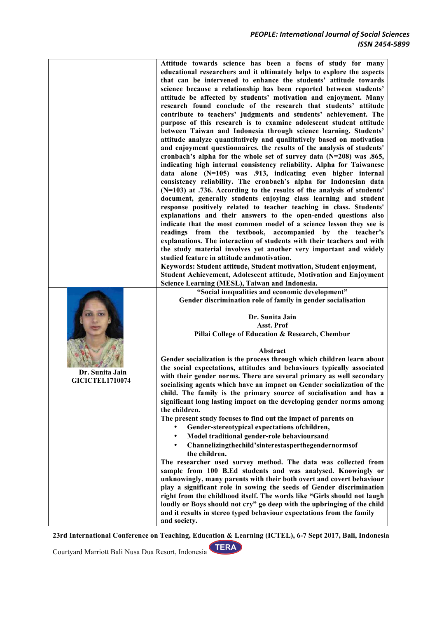**Attitude towards science has been a focus of study for many educational researchers and it ultimately helps to explore the aspects that can be intervened to enhance the students' attitude towards science because a relationship has been reported between students' attitude be affected by students' motivation and enjoyment. Many research found conclude of the research that students' attitude contribute to teachers' judgments and students' achievement. The purpose of this research is to examine adolescent student attitude between Taiwan and Indonesia through science learning. Students' attitude analyze quantitatively and qualitatively based on motivation and enjoyment questionnaires. the results of the analysis of students' cronbach's alpha for the whole set of survey data (N=208) was .865, indicating high internal consistency reliability. Alpha for Taiwanese data alone (N=105) was .913, indicating even higher internal consistency reliability. The cronbach's alpha for Indonesian data (N=103) at .736. According to the results of the analysis of students' document, generally students enjoying class learning and student response positively related to teacher teaching in class. Students' explanations and their answers to the open-ended questions also indicate that the most common model of a science lesson they see is readings from the textbook, accompanied by the teacher's explanations. The interaction of students with their teachers and with the study material involves yet another very important and widely studied feature in attitude andmotivation.**

**Keywords: Student attitude, Student motivation, Student enjoyment, Student Achievement, Adolescent attitude, Motivation and Enjoyment Science Learning (MESL), Taiwan and Indonesia.**

**"Social inequalities and economic development" Gender discrimination role of family in gender socialisation**

**Dr. Sunita Jain Asst. Prof Pillai College of Education & Research, Chembur**

#### **Abstract**

**Gender socialization is the process through which children learn about the social expectations, attitudes and behaviours typically associated with their gender norms. There are several primary as well secondary socialising agents which have an impact on Gender socialization of the child. The family is the primary source of socialisation and has a significant long lasting impact on the developing gender norms among the children.**

**The present study focuses to find out the impact of parents on**

- **Gender-stereotypical expectations ofchildren,**
- **Model traditional gender-role behavioursand**
- **Channelizingthechild'sinterestasperthegendernormsof the children.**

**The researcher used survey method. The data was collected from sample from 100 B.Ed students and was analysed. Knowingly or unknowingly, many parents with their both overt and covert behaviour play a significant role in sowing the seeds of Gender discrimination right from the childhood itself. The words like "Girls should not laugh loudly or Boys should not cry" go deep with the upbringing of the child and it results in stereo typed behaviour expectations from the family and society.**

**23rd International Conference on Teaching, Education & Learning (ICTEL), 6-7 Sept 2017, Bali, Indonesia**

**TERA** Courtyard Marriott Bali Nusa Dua Resort, Indonesia

**Dr. Sunita Jain GICICTEL1710074**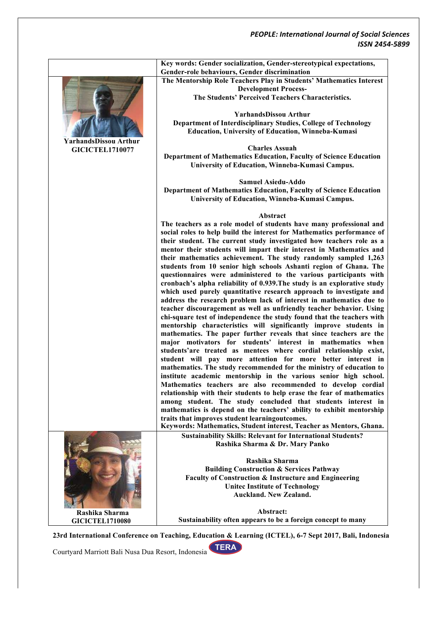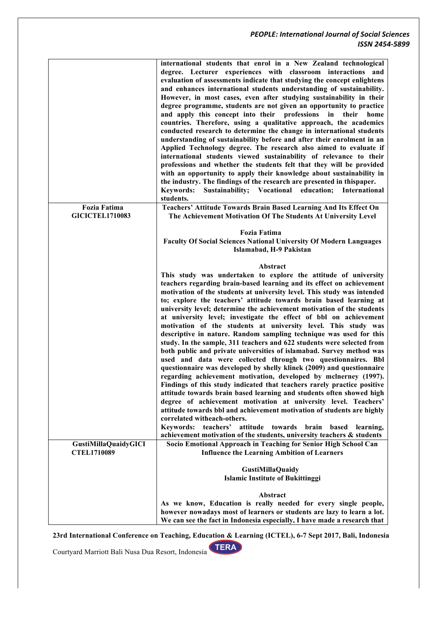|                                               | international students that enrol in a New Zealand technological<br>degree. Lecturer experiences with classroom interactions and<br>evaluation of assessments indicate that studying the concept enlightens<br>and enhances international students understanding of sustainability.<br>However, in most cases, even after studying sustainability in their<br>degree programme, students are not given an opportunity to practice<br>and apply this concept into their professions<br>their<br>in<br>home<br>countries. Therefore, using a qualitative approach, the academics<br>conducted research to determine the change in international students<br>understanding of sustainability before and after their enrolment in an<br>Applied Technology degree. The research also aimed to evaluate if<br>international students viewed sustainability of relevance to their<br>professions and whether the students felt that they will be provided<br>with an opportunity to apply their knowledge about sustainability in<br>the industry. The findings of the research are presented in thispaper.<br>Sustainability;<br>Vocational<br>International<br>Keywords:<br>education;<br>students.                                                                                                                                                                                                                                                |
|-----------------------------------------------|------------------------------------------------------------------------------------------------------------------------------------------------------------------------------------------------------------------------------------------------------------------------------------------------------------------------------------------------------------------------------------------------------------------------------------------------------------------------------------------------------------------------------------------------------------------------------------------------------------------------------------------------------------------------------------------------------------------------------------------------------------------------------------------------------------------------------------------------------------------------------------------------------------------------------------------------------------------------------------------------------------------------------------------------------------------------------------------------------------------------------------------------------------------------------------------------------------------------------------------------------------------------------------------------------------------------------------------------------------------------------------------------------------------------------------------------|
| <b>Fozia Fatima</b><br><b>GICICTEL1710083</b> | Teachers' Attitude Towards Brain Based Learning And Its Effect On<br>The Achievement Motivation Of The Students At University Level                                                                                                                                                                                                                                                                                                                                                                                                                                                                                                                                                                                                                                                                                                                                                                                                                                                                                                                                                                                                                                                                                                                                                                                                                                                                                                            |
|                                               | <b>Fozia Fatima</b><br><b>Faculty Of Social Sciences National University Of Modern Languages</b><br>Islamabad, H-9 Pakistan                                                                                                                                                                                                                                                                                                                                                                                                                                                                                                                                                                                                                                                                                                                                                                                                                                                                                                                                                                                                                                                                                                                                                                                                                                                                                                                    |
|                                               | Abstract<br>This study was undertaken to explore the attitude of university<br>teachers regarding brain-based learning and its effect on achievement<br>motivation of the students at university level. This study was intended<br>to; explore the teachers' attitude towards brain based learning at<br>university level; determine the achievement motivation of the students<br>at university level; investigate the effect of bbl on achievement<br>motivation of the students at university level. This study was<br>descriptive in nature. Random sampling technique was used for this<br>study. In the sample, 311 teachers and 622 students were selected from<br>both public and private universities of islamabad. Survey method was<br>used and data were collected through two questionnaires. Bbl<br>questionnaire was developed by shelly klinek (2009) and questionnaire<br>regarding achievement motivation, developed by mclnerney (1997).<br>Findings of this study indicated that teachers rarely practice positive<br>attitude towards brain based learning and students often showed high<br>degree of achievement motivation at university level. Teachers'<br>attitude towards bbl and achievement motivation of students are highly<br>correlated witheach-others.<br>attitude towards<br>Keywords: teachers'<br>brain<br>based<br>learning,<br>achievement motivation of the students, university teachers & students |
| GustiMillaQuaidyGICI<br><b>CTEL1710089</b>    | Socio Emotional Approach in Teaching for Senior High School Can<br><b>Influence the Learning Ambition of Learners</b>                                                                                                                                                                                                                                                                                                                                                                                                                                                                                                                                                                                                                                                                                                                                                                                                                                                                                                                                                                                                                                                                                                                                                                                                                                                                                                                          |
|                                               | <b>GustiMillaQuaidy</b><br><b>Islamic Institute of Bukittinggi</b>                                                                                                                                                                                                                                                                                                                                                                                                                                                                                                                                                                                                                                                                                                                                                                                                                                                                                                                                                                                                                                                                                                                                                                                                                                                                                                                                                                             |
|                                               | Abstract<br>As we know, Education is really needed for every single people,                                                                                                                                                                                                                                                                                                                                                                                                                                                                                                                                                                                                                                                                                                                                                                                                                                                                                                                                                                                                                                                                                                                                                                                                                                                                                                                                                                    |
|                                               | however nowadays most of learners or students are lazy to learn a lot.                                                                                                                                                                                                                                                                                                                                                                                                                                                                                                                                                                                                                                                                                                                                                                                                                                                                                                                                                                                                                                                                                                                                                                                                                                                                                                                                                                         |
|                                               | We can see the fact in Indonesia especially, I have made a research that                                                                                                                                                                                                                                                                                                                                                                                                                                                                                                                                                                                                                                                                                                                                                                                                                                                                                                                                                                                                                                                                                                                                                                                                                                                                                                                                                                       |

**23rd International Conference on Teaching, Education & Learning (ICTEL), 6-7 Sept 2017, Bali, Indonesia**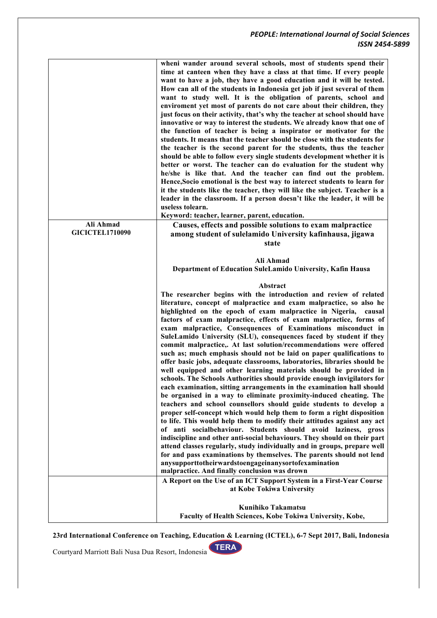|                                     | wheni wander around several schools, most of students spend their<br>time at canteen when they have a class at that time. If every people<br>want to have a job, they have a good education and it will be tested.<br>How can all of the students in Indonesia get job if just several of them<br>want to study well. It is the obligation of parents, school and<br>enviroment yet most of parents do not care about their children, they<br>just focus on their activity, that's why the teacher at school should have<br>innovative or way to interest the students. We already know that one of<br>the function of teacher is being a inspirator or motivator for the<br>students. It means that the teacher should be close with the students for<br>the teacher is the second parent for the students, thus the teacher<br>should be able to follow every single students development whether it is<br>better or worst. The teacher can do evaluation for the student why<br>he/she is like that. And the teacher can find out the problem.<br>Hence, Socio emotional is the best way to interect students to learn for<br>it the students like the teacher, they will like the subject. Teacher is a<br>leader in the classroom. If a person doesn't like the leader, it will be                                                                                                                                                                                                                                                                                                                                                                                    |
|-------------------------------------|----------------------------------------------------------------------------------------------------------------------------------------------------------------------------------------------------------------------------------------------------------------------------------------------------------------------------------------------------------------------------------------------------------------------------------------------------------------------------------------------------------------------------------------------------------------------------------------------------------------------------------------------------------------------------------------------------------------------------------------------------------------------------------------------------------------------------------------------------------------------------------------------------------------------------------------------------------------------------------------------------------------------------------------------------------------------------------------------------------------------------------------------------------------------------------------------------------------------------------------------------------------------------------------------------------------------------------------------------------------------------------------------------------------------------------------------------------------------------------------------------------------------------------------------------------------------------------------------------------------------------------------------------------------------------|
|                                     | useless tolearn.                                                                                                                                                                                                                                                                                                                                                                                                                                                                                                                                                                                                                                                                                                                                                                                                                                                                                                                                                                                                                                                                                                                                                                                                                                                                                                                                                                                                                                                                                                                                                                                                                                                           |
|                                     | Keyword: teacher, learner, parent, education.                                                                                                                                                                                                                                                                                                                                                                                                                                                                                                                                                                                                                                                                                                                                                                                                                                                                                                                                                                                                                                                                                                                                                                                                                                                                                                                                                                                                                                                                                                                                                                                                                              |
| Ali Ahmad<br><b>GICICTEL1710090</b> | Causes, effects and possible solutions to exam malpractice<br>among student of sulelamido University kafinhausa, jigawa<br>state                                                                                                                                                                                                                                                                                                                                                                                                                                                                                                                                                                                                                                                                                                                                                                                                                                                                                                                                                                                                                                                                                                                                                                                                                                                                                                                                                                                                                                                                                                                                           |
|                                     | Ali Ahmad                                                                                                                                                                                                                                                                                                                                                                                                                                                                                                                                                                                                                                                                                                                                                                                                                                                                                                                                                                                                                                                                                                                                                                                                                                                                                                                                                                                                                                                                                                                                                                                                                                                                  |
|                                     | Department of Education SuleLamido University, Kafin Hausa                                                                                                                                                                                                                                                                                                                                                                                                                                                                                                                                                                                                                                                                                                                                                                                                                                                                                                                                                                                                                                                                                                                                                                                                                                                                                                                                                                                                                                                                                                                                                                                                                 |
|                                     |                                                                                                                                                                                                                                                                                                                                                                                                                                                                                                                                                                                                                                                                                                                                                                                                                                                                                                                                                                                                                                                                                                                                                                                                                                                                                                                                                                                                                                                                                                                                                                                                                                                                            |
|                                     | Abstract<br>The researcher begins with the introduction and review of related<br>literature, concept of malpractice and exam malpractice, so also he<br>highlighted on the epoch of exam malpractice in Nigeria,<br>causal<br>factors of exam malpractice, effects of exam malpractice, forms of<br>exam malpractice, Consequences of Examinations misconduct in<br>SuleLamido University (SLU), consequences faced by student if they<br>commit malpractice,. At last solution/recommendations were offered<br>such as; much emphasis should not be laid on paper qualifications to<br>offer basic jobs, adequate classrooms, laboratories, libraries should be<br>well equipped and other learning materials should be provided in<br>schools. The Schools Authorities should provide enough invigilators for<br>each examination, sitting arrangements in the examination hall should<br>be organised in a way to eliminate proximity-induced cheating. The<br>teachers and school counsellors should guide students to develop a<br>proper self-concept which would help them to form a right disposition<br>to life. This would help them to modify their attitudes against any act<br>of anti socialbehaviour. Students should avoid laziness, gross<br>indiscipline and other anti-social behaviours. They should on their part<br>attend classes regularly, study individually and in groups, prepare well<br>for and pass examinations by themselves. The parents should not lend<br>anysupporttotheirwardstoengageinanysortofexamination<br>malpractice. And finally conclusion was drown<br>A Report on the Use of an ICT Support System in a First-Year Course |
|                                     | at Kobe Tokiwa University                                                                                                                                                                                                                                                                                                                                                                                                                                                                                                                                                                                                                                                                                                                                                                                                                                                                                                                                                                                                                                                                                                                                                                                                                                                                                                                                                                                                                                                                                                                                                                                                                                                  |
|                                     | <b>Kunihiko Takamatsu</b><br>Faculty of Health Sciences, Kobe Tokiwa University, Kobe,                                                                                                                                                                                                                                                                                                                                                                                                                                                                                                                                                                                                                                                                                                                                                                                                                                                                                                                                                                                                                                                                                                                                                                                                                                                                                                                                                                                                                                                                                                                                                                                     |

**23rd International Conference on Teaching, Education & Learning (ICTEL), 6-7 Sept 2017, Bali, Indonesia**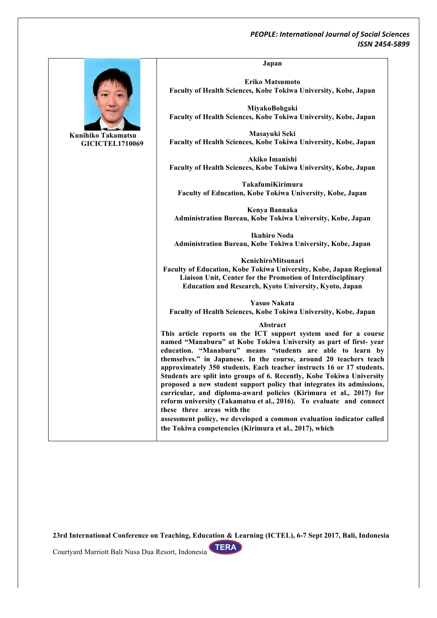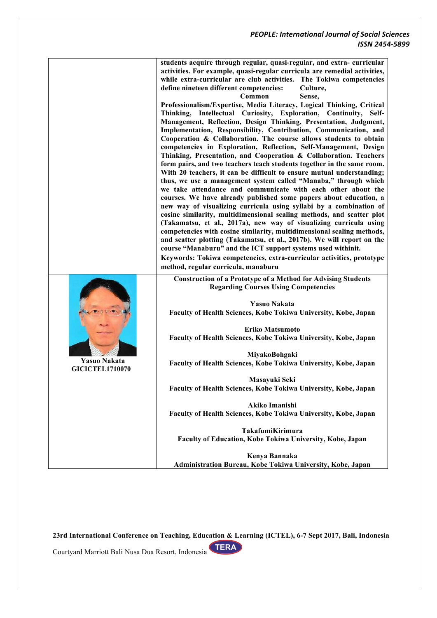

**23rd International Conference on Teaching, Education & Learning (ICTEL), 6-7 Sept 2017, Bali, Indonesia TERA** Courtyard Marriott Bali Nusa Dua Resort, Indonesia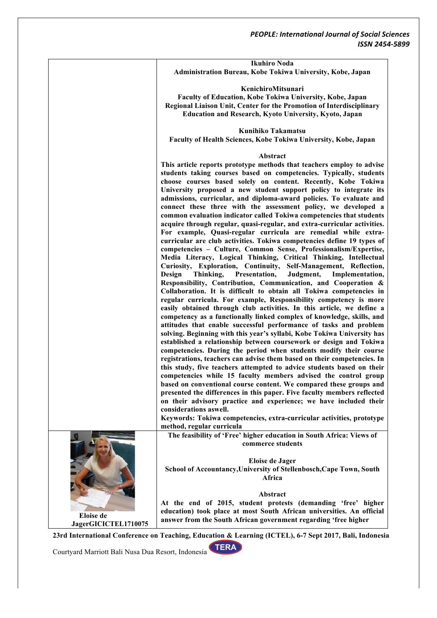**Ikuhiro Noda Administration Bureau, Kobe Tokiwa University, Kobe, Japan**

**KenichiroMitsunari Faculty of Education, Kobe Tokiwa University, Kobe, Japan Regional Liaison Unit, Center for the Promotion of Interdisciplinary Education and Research, Kyoto University, Kyoto, Japan**

**Kunihiko Takamatsu Faculty of Health Sciences, Kobe Tokiwa University, Kobe, Japan**

#### **Abstract**

**This article reports prototype methods that teachers employ to advise students taking courses based on competencies. Typically, students choose courses based solely on content. Recently, Kobe Tokiwa University proposed a new student support policy to integrate its admissions, curricular, and diploma-award policies. To evaluate and connect these three with the assessment policy, we developed a common evaluation indicator called Tokiwa competencies that students acquire through regular, quasi-regular, and extra-curricular activities. For example, Quasi-regular curricula are remedial while extracurricular are club activities. Tokiwa competencies define 19 types of competencies – Culture, Common Sense, Professionalism/Expertise, Media Literacy, Logical Thinking, Critical Thinking, Intellectual Curiosity, Exploration, Continuity, Self-Management, Reflection, Design Thinking, Presentation, Judgment, Implementation, Responsibility, Contribution, Communication, and Cooperation & Collaboration. It is difficult to obtain all Tokiwa competencies in regular curricula. For example, Responsibility competency is more easily obtained through club activities. In this article, we define a competency as a functionally linked complex of knowledge, skills, and attitudes that enable successful performance of tasks and problem solving. Beginning with this year's syllabi, Kobe Tokiwa University has established a relationship between coursework or design and Tokiwa competencies. During the period when students modify their course registrations, teachers can advise them based on their competencies. In this study, five teachers attempted to advice students based on their competencies while 15 faculty members advised the control group based on conventional course content. We compared these groups and presented the differences in this paper. Five faculty members reflected on their advisory practice and experience; we have included their considerations aswell.**

**Keywords: Tokiwa competencies, extra-curricular activities, prototype method, regular curricula**

**The feasibility of 'Free' higher education in South Africa: Views of commerce students**

**Eloise de Jager School of Accountancy,University of Stellenbosch,Cape Town, South Africa**

**Abstract**

**At the end of 2015, student protests (demanding 'free' higher education) took place at most South African universities. An official answer from the South African government regarding 'free higher**

**23rd International Conference on Teaching, Education & Learning (ICTEL), 6-7 Sept 2017, Bali, Indonesia**

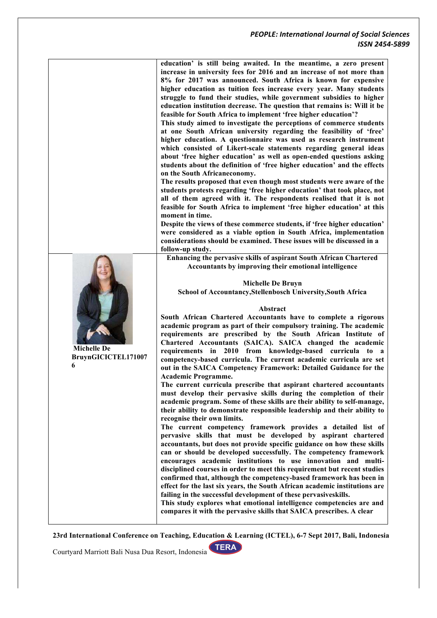| <b>Michelle De</b><br>BruynGICICTEL171007<br>6 | education' is still being awaited. In the meantime, a zero present<br>increase in university fees for 2016 and an increase of not more than<br>8% for 2017 was announced. South Africa is known for expensive<br>higher education as tuition fees increase every year. Many students<br>struggle to fund their studies, while government subsidies to higher<br>education institution decrease. The question that remains is: Will it be<br>feasible for South Africa to implement 'free higher education'?<br>This study aimed to investigate the perceptions of commerce students<br>at one South African university regarding the feasibility of 'free'<br>higher education. A questionnaire was used as research instrument<br>which consisted of Likert-scale statements regarding general ideas<br>about 'free higher education' as well as open-ended questions asking<br>students about the definition of 'free higher education' and the effects<br>on the South Africaneconomy.<br>The results proposed that even though most students were aware of the<br>students protests regarding 'free higher education' that took place, not<br>all of them agreed with it. The respondents realised that it is not<br>feasible for South Africa to implement 'free higher education' at this<br>moment in time.<br>Despite the views of these commerce students, if 'free higher education'<br>were considered as a viable option in South Africa, implementation<br>considerations should be examined. These issues will be discussed in a<br>follow-up study.<br>Enhancing the pervasive skills of aspirant South African Chartered<br>Accountants by improving their emotional intelligence<br><b>Michelle De Bruyn</b><br>School of Accountancy, Stellenbosch University, South Africa<br>Abstract<br>South African Chartered Accountants have to complete a rigorous<br>academic program as part of their compulsory training. The academic<br>requirements are prescribed by the South African Institute of<br>Chartered Accountants (SAICA). SAICA changed the academic<br>requirements in 2010 from knowledge-based curricula to a<br>competency-based curricula. The current academic curricula are set<br>out in the SAICA Competency Framework: Detailed Guidance for the<br><b>Academic Programme.</b><br>The current curricula prescribe that aspirant chartered accountants<br>must develop their pervasive skills during the completion of their<br>academic program. Some of these skills are their ability to self-manage,<br>their ability to demonstrate responsible leadership and their ability to<br>recognise their own limits.<br>The current competency framework provides a detailed list of<br>pervasive skills that must be developed by aspirant chartered<br>accountants, but does not provide specific guidance on how these skills<br>can or should be developed successfully. The competency framework<br>encourages academic institutions to use innovation and multi-<br>disciplined courses in order to meet this requirement but recent studies<br>confirmed that, although the competency-based framework has been in |
|------------------------------------------------|----------------------------------------------------------------------------------------------------------------------------------------------------------------------------------------------------------------------------------------------------------------------------------------------------------------------------------------------------------------------------------------------------------------------------------------------------------------------------------------------------------------------------------------------------------------------------------------------------------------------------------------------------------------------------------------------------------------------------------------------------------------------------------------------------------------------------------------------------------------------------------------------------------------------------------------------------------------------------------------------------------------------------------------------------------------------------------------------------------------------------------------------------------------------------------------------------------------------------------------------------------------------------------------------------------------------------------------------------------------------------------------------------------------------------------------------------------------------------------------------------------------------------------------------------------------------------------------------------------------------------------------------------------------------------------------------------------------------------------------------------------------------------------------------------------------------------------------------------------------------------------------------------------------------------------------------------------------------------------------------------------------------------------------------------------------------------------------------------------------------------------------------------------------------------------------------------------------------------------------------------------------------------------------------------------------------------------------------------------------------------------------------------------------------------------------------------------------------------------------------------------------------------------------------------------------------------------------------------------------------------------------------------------------------------------------------------------------------------------------------------------------------------------------------------------------------------------------------------------------------------------------------------------------------------------------------------------------------------------------------------------------------------------------------------------------------------------------------------------------------------------------------------------------|
|                                                |                                                                                                                                                                                                                                                                                                                                                                                                                                                                                                                                                                                                                                                                                                                                                                                                                                                                                                                                                                                                                                                                                                                                                                                                                                                                                                                                                                                                                                                                                                                                                                                                                                                                                                                                                                                                                                                                                                                                                                                                                                                                                                                                                                                                                                                                                                                                                                                                                                                                                                                                                                                                                                                                                                                                                                                                                                                                                                                                                                                                                                                                                                                                                                |
|                                                | effect for the last six years, the South African academic institutions are<br>failing in the successful development of these pervasiveskills.<br>This study explores what emotional intelligence competencies are and<br>compares it with the pervasive skills that SAICA prescribes. A clear                                                                                                                                                                                                                                                                                                                                                                                                                                                                                                                                                                                                                                                                                                                                                                                                                                                                                                                                                                                                                                                                                                                                                                                                                                                                                                                                                                                                                                                                                                                                                                                                                                                                                                                                                                                                                                                                                                                                                                                                                                                                                                                                                                                                                                                                                                                                                                                                                                                                                                                                                                                                                                                                                                                                                                                                                                                                  |
|                                                |                                                                                                                                                                                                                                                                                                                                                                                                                                                                                                                                                                                                                                                                                                                                                                                                                                                                                                                                                                                                                                                                                                                                                                                                                                                                                                                                                                                                                                                                                                                                                                                                                                                                                                                                                                                                                                                                                                                                                                                                                                                                                                                                                                                                                                                                                                                                                                                                                                                                                                                                                                                                                                                                                                                                                                                                                                                                                                                                                                                                                                                                                                                                                                |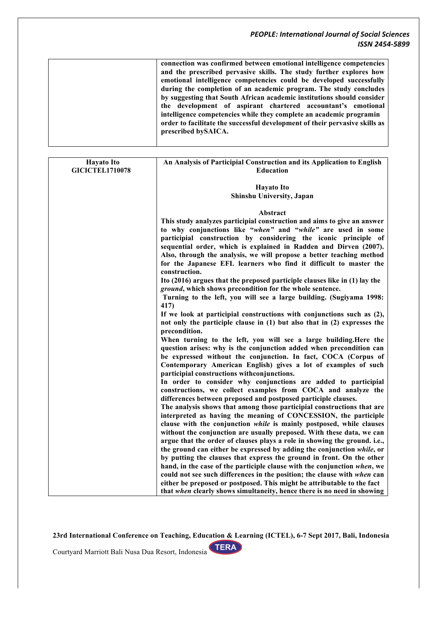| connection was confirmed between emotional intelligence competencies<br>and the prescribed pervasive skills. The study further explores how<br>emotional intelligence competencies could be developed successfully<br>during the completion of an academic program. The study concludes<br>by suggesting that South African academic institutions should consider<br>the development of aspirant chartered accountant's emotional<br>intelligence competencies while they complete an academic programin<br>order to facilitate the successful development of their pervasive skills as<br>prescribed by SAICA. |
|-----------------------------------------------------------------------------------------------------------------------------------------------------------------------------------------------------------------------------------------------------------------------------------------------------------------------------------------------------------------------------------------------------------------------------------------------------------------------------------------------------------------------------------------------------------------------------------------------------------------|
|                                                                                                                                                                                                                                                                                                                                                                                                                                                                                                                                                                                                                 |

| <b>Hayato</b> Ito      | An Analysis of Participial Construction and its Application to English                                                                          |
|------------------------|-------------------------------------------------------------------------------------------------------------------------------------------------|
| <b>GICICTEL1710078</b> | <b>Education</b>                                                                                                                                |
|                        | <b>Hayato</b> Ito                                                                                                                               |
|                        | Shinshu University, Japan                                                                                                                       |
|                        | Abstract                                                                                                                                        |
|                        | This study analyzes participial construction and aims to give an answer<br>to why conjunctions like "when" and "while" are used in some         |
|                        | participial construction by considering the iconic principle of                                                                                 |
|                        | sequential order, which is explained in Radden and Dirven (2007).                                                                               |
|                        | Also, through the analysis, we will propose a better teaching method<br>for the Japanese EFL learners who find it difficult to master the       |
|                        | construction.                                                                                                                                   |
|                        | Ito (2016) argues that the preposed participle clauses like in (1) lay the<br>ground, which shows precondition for the whole sentence.          |
|                        | Turning to the left, you will see a large building. (Sugiyama 1998:                                                                             |
|                        | 417)<br>If we look at participial constructions with conjunctions such as (2),                                                                  |
|                        | not only the participle clause in (1) but also that in (2) expresses the<br>precondition.                                                       |
|                        | When turning to the left, you will see a large building. Here the                                                                               |
|                        | question arises: why is the conjunction added when precondition can                                                                             |
|                        | be expressed without the conjunction. In fact, COCA (Corpus of                                                                                  |
|                        | Contemporary American English) gives a lot of examples of such<br>participial constructions withconjunctions.                                   |
|                        | In order to consider why conjunctions are added to participial                                                                                  |
|                        | constructions, we collect examples from COCA and analyze the                                                                                    |
|                        | differences between preposed and postposed participle clauses.<br>The analysis shows that among those participial constructions that are        |
|                        | interpreted as having the meaning of CONCESSION, the participle                                                                                 |
|                        | clause with the conjunction while is mainly postposed, while clauses                                                                            |
|                        | without the conjunction are usually preposed. With these data, we can                                                                           |
|                        | argue that the order of clauses plays a role in showing the ground. i.e.,                                                                       |
|                        | the ground can either be expressed by adding the conjunction while, or<br>by putting the clauses that express the ground in front. On the other |
|                        | hand, in the case of the participle clause with the conjunction when, we                                                                        |
|                        | could not see such differences in the position; the clause with when can                                                                        |
|                        | either be preposed or postposed. This might be attributable to the fact                                                                         |
|                        | that when clearly shows simultaneity, hence there is no need in showing                                                                         |

**23rd International Conference on Teaching, Education & Learning (ICTEL), 6-7 Sept 2017, Bali, Indonesia TERA**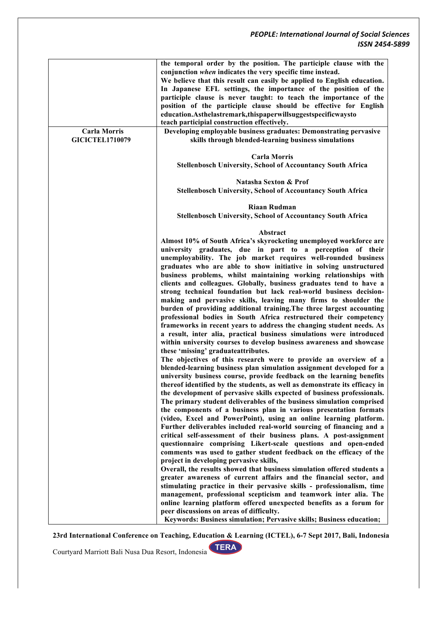|                                               | the temporal order by the position. The participle clause with the<br>conjunction when indicates the very specific time instead.<br>We believe that this result can easily be applied to English education.<br>In Japanese EFL settings, the importance of the position of the<br>participle clause is never taught: to teach the importance of the<br>position of the participle clause should be effective for English<br>education.Asthelastremark,thispaperwillsuggestspecificwaysto<br>teach participial construction effectively.                                                                                                                                                                                                                                                                                                                                                                                                                                                                                                                                                                                                                                                                                                                                                                                                                                                                                                                                                                                                                                                                                                                                                                                                                                                                                                                                                                                                                                                                                                                                                                                                 |
|-----------------------------------------------|-----------------------------------------------------------------------------------------------------------------------------------------------------------------------------------------------------------------------------------------------------------------------------------------------------------------------------------------------------------------------------------------------------------------------------------------------------------------------------------------------------------------------------------------------------------------------------------------------------------------------------------------------------------------------------------------------------------------------------------------------------------------------------------------------------------------------------------------------------------------------------------------------------------------------------------------------------------------------------------------------------------------------------------------------------------------------------------------------------------------------------------------------------------------------------------------------------------------------------------------------------------------------------------------------------------------------------------------------------------------------------------------------------------------------------------------------------------------------------------------------------------------------------------------------------------------------------------------------------------------------------------------------------------------------------------------------------------------------------------------------------------------------------------------------------------------------------------------------------------------------------------------------------------------------------------------------------------------------------------------------------------------------------------------------------------------------------------------------------------------------------------------|
| <b>Carla Morris</b><br><b>GICICTEL1710079</b> | Developing employable business graduates: Demonstrating pervasive<br>skills through blended-learning business simulations                                                                                                                                                                                                                                                                                                                                                                                                                                                                                                                                                                                                                                                                                                                                                                                                                                                                                                                                                                                                                                                                                                                                                                                                                                                                                                                                                                                                                                                                                                                                                                                                                                                                                                                                                                                                                                                                                                                                                                                                               |
|                                               | <b>Carla Morris</b><br><b>Stellenbosch University, School of Accountancy South Africa</b>                                                                                                                                                                                                                                                                                                                                                                                                                                                                                                                                                                                                                                                                                                                                                                                                                                                                                                                                                                                                                                                                                                                                                                                                                                                                                                                                                                                                                                                                                                                                                                                                                                                                                                                                                                                                                                                                                                                                                                                                                                               |
|                                               | Natasha Sexton & Prof<br><b>Stellenbosch University, School of Accountancy South Africa</b>                                                                                                                                                                                                                                                                                                                                                                                                                                                                                                                                                                                                                                                                                                                                                                                                                                                                                                                                                                                                                                                                                                                                                                                                                                                                                                                                                                                                                                                                                                                                                                                                                                                                                                                                                                                                                                                                                                                                                                                                                                             |
|                                               | <b>Riaan Rudman</b><br><b>Stellenbosch University, School of Accountancy South Africa</b>                                                                                                                                                                                                                                                                                                                                                                                                                                                                                                                                                                                                                                                                                                                                                                                                                                                                                                                                                                                                                                                                                                                                                                                                                                                                                                                                                                                                                                                                                                                                                                                                                                                                                                                                                                                                                                                                                                                                                                                                                                               |
|                                               | Almost 10% of South Africa's skyrocketing unemployed workforce are<br>university graduates, due in part to a perception of their<br>unemployability. The job market requires well-rounded business<br>graduates who are able to show initiative in solving unstructured<br>business problems, whilst maintaining working relationships with<br>clients and colleagues. Globally, business graduates tend to have a<br>strong technical foundation but lack real-world business decision-<br>making and pervasive skills, leaving many firms to shoulder the<br>burden of providing additional training. The three largest accounting<br>professional bodies in South Africa restructured their competency<br>frameworks in recent years to address the changing student needs. As<br>a result, inter alia, practical business simulations were introduced<br>within university courses to develop business awareness and showcase<br>these 'missing' graduateattributes.<br>The objectives of this research were to provide an overview of a<br>blended-learning business plan simulation assignment developed for a<br>university business course, provide feedback on the learning benefits<br>thereof identified by the students, as well as demonstrate its efficacy in<br>the development of pervasive skills expected of business professionals.<br>The primary student deliverables of the business simulation comprised<br>the components of a business plan in various presentation formats<br>(video, Excel and PowerPoint), using an online learning platform.<br>Further deliverables included real-world sourcing of financing and a<br>critical self-assessment of their business plans. A post-assignment<br>questionnaire comprising Likert-scale questions and open-ended<br>comments was used to gather student feedback on the efficacy of the<br>project in developing pervasive skills,<br>Overall, the results showed that business simulation offered students a<br>greater awareness of current affairs and the financial sector, and<br>stimulating practice in their pervasive skills - professionalism, time |
|                                               | management, professional scepticism and teamwork inter alia. The<br>online learning platform offered unexpected benefits as a forum for<br>peer discussions on areas of difficulty.<br>Keywords: Business simulation; Pervasive skills; Business education;                                                                                                                                                                                                                                                                                                                                                                                                                                                                                                                                                                                                                                                                                                                                                                                                                                                                                                                                                                                                                                                                                                                                                                                                                                                                                                                                                                                                                                                                                                                                                                                                                                                                                                                                                                                                                                                                             |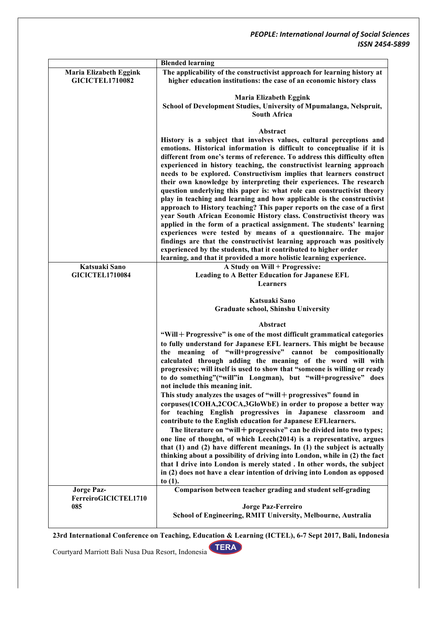|                                                         | <b>Blended learning</b>                                                                                                                                                                                                                                                                                                                                                                                                                                                                                                                                                                                                                                                                                                                                                                                                                                                                                                                                                                                                                                                                                                                                                                                                          |
|---------------------------------------------------------|----------------------------------------------------------------------------------------------------------------------------------------------------------------------------------------------------------------------------------------------------------------------------------------------------------------------------------------------------------------------------------------------------------------------------------------------------------------------------------------------------------------------------------------------------------------------------------------------------------------------------------------------------------------------------------------------------------------------------------------------------------------------------------------------------------------------------------------------------------------------------------------------------------------------------------------------------------------------------------------------------------------------------------------------------------------------------------------------------------------------------------------------------------------------------------------------------------------------------------|
| <b>Maria Elizabeth Eggink</b><br><b>GICICTEL1710082</b> | The applicability of the constructivist approach for learning history at<br>higher education institutions: the case of an economic history class                                                                                                                                                                                                                                                                                                                                                                                                                                                                                                                                                                                                                                                                                                                                                                                                                                                                                                                                                                                                                                                                                 |
|                                                         | <b>Maria Elizabeth Eggink</b><br>School of Development Studies, University of Mpumalanga, Nelspruit,<br><b>South Africa</b>                                                                                                                                                                                                                                                                                                                                                                                                                                                                                                                                                                                                                                                                                                                                                                                                                                                                                                                                                                                                                                                                                                      |
|                                                         | Abstract<br>History is a subject that involves values, cultural perceptions and<br>emotions. Historical information is difficult to conceptualise if it is<br>different from one's terms of reference. To address this difficulty often<br>experienced in history teaching, the constructivist learning approach<br>needs to be explored. Constructivism implies that learners construct<br>their own knowledge by interpreting their experiences. The research<br>question underlying this paper is: what role can constructivist theory<br>play in teaching and learning and how applicable is the constructivist<br>approach to History teaching? This paper reports on the case of a first<br>year South African Economic History class. Constructivist theory was<br>applied in the form of a practical assignment. The students' learning<br>experiences were tested by means of a questionnaire. The major<br>findings are that the constructivist learning approach was positively<br>experienced by the students, that it contributed to higher order                                                                                                                                                                   |
|                                                         | learning, and that it provided a more holistic learning experience.                                                                                                                                                                                                                                                                                                                                                                                                                                                                                                                                                                                                                                                                                                                                                                                                                                                                                                                                                                                                                                                                                                                                                              |
| Katsuaki Sano                                           | A Study on Will + Progressive:                                                                                                                                                                                                                                                                                                                                                                                                                                                                                                                                                                                                                                                                                                                                                                                                                                                                                                                                                                                                                                                                                                                                                                                                   |
| GICICTEL1710084                                         | <b>Leading to A Better Education for Japanese EFL</b>                                                                                                                                                                                                                                                                                                                                                                                                                                                                                                                                                                                                                                                                                                                                                                                                                                                                                                                                                                                                                                                                                                                                                                            |
|                                                         | Learners                                                                                                                                                                                                                                                                                                                                                                                                                                                                                                                                                                                                                                                                                                                                                                                                                                                                                                                                                                                                                                                                                                                                                                                                                         |
|                                                         | Katsuaki Sano<br>Graduate school, Shinshu University                                                                                                                                                                                                                                                                                                                                                                                                                                                                                                                                                                                                                                                                                                                                                                                                                                                                                                                                                                                                                                                                                                                                                                             |
|                                                         | Abstract                                                                                                                                                                                                                                                                                                                                                                                                                                                                                                                                                                                                                                                                                                                                                                                                                                                                                                                                                                                                                                                                                                                                                                                                                         |
|                                                         | "Will + Progressive" is one of the most difficult grammatical categories<br>to fully understand for Japanese EFL learners. This might be because<br>the meaning of "will+progressive" cannot be compositionally<br>calculated through adding the meaning of the word will with<br>progressive; will itself is used to show that "someone is willing or ready<br>to do something"("will"in Longman), but "will+progressive" does<br>not include this meaning init.<br>This study analyzes the usages of "will $+$ progressives" found in<br>corpuses(1COHA,2COCA,3GloWbE) in order to propose a better way<br>for teaching English progressives in Japanese classroom and<br>contribute to the English education for Japanese EFLIearners.<br>The literature on "will + progressive" can be divided into two types;<br>one line of thought, of which Leech(2014) is a representative, argues<br>that $(1)$ and $(2)$ have different meanings. In $(1)$ the subject is actually<br>thinking about a possibility of driving into London, while in (2) the fact<br>that I drive into London is merely stated . In other words, the subject<br>in (2) does not have a clear intention of driving into London as opposed<br>to $(1)$ . |
| <b>Jorge Paz-</b>                                       | Comparison between teacher grading and student self-grading                                                                                                                                                                                                                                                                                                                                                                                                                                                                                                                                                                                                                                                                                                                                                                                                                                                                                                                                                                                                                                                                                                                                                                      |
| FerreiroGICICTEL1710<br>085                             | <b>Jorge Paz-Ferreiro</b><br>School of Engineering, RMIT University, Melbourne, Australia                                                                                                                                                                                                                                                                                                                                                                                                                                                                                                                                                                                                                                                                                                                                                                                                                                                                                                                                                                                                                                                                                                                                        |

**23rd International Conference on Teaching, Education & Learning (ICTEL), 6-7 Sept 2017, Bali, Indonesia**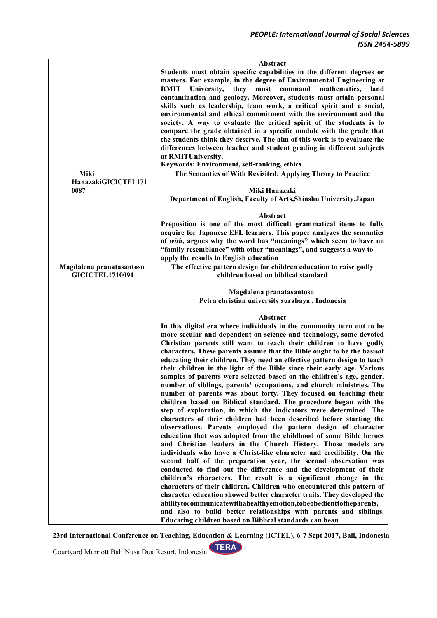|                          | Abstract                                                                 |
|--------------------------|--------------------------------------------------------------------------|
|                          | Students must obtain specific capabilities in the different degrees or   |
|                          | masters. For example, in the degree of Environmental Engineering at      |
|                          | RMIT University, they must command<br>mathematics,<br>land               |
|                          |                                                                          |
|                          | contamination and geology. Moreover, students must attain personal       |
|                          | skills such as leadership, team work, a critical spirit and a social,    |
|                          | environmental and ethical commitment with the environment and the        |
|                          | society. A way to evaluate the critical spirit of the students is to     |
|                          |                                                                          |
|                          | compare the grade obtained in a specific module with the grade that      |
|                          | the students think they deserve. The aim of this work is to evaluate the |
|                          | differences between teacher and student grading in different subjects    |
|                          | at RMITUniversity.                                                       |
|                          | Keywords: Environment, self-ranking, ethics                              |
|                          |                                                                          |
| Miki                     | The Semantics of With Revisited: Applying Theory to Practice             |
| HanazakiGICICTEL171      |                                                                          |
| 0087                     | Miki Hanazaki                                                            |
|                          | Department of English, Faculty of Arts, Shinshu University, Japan        |
|                          |                                                                          |
|                          |                                                                          |
|                          | Abstract                                                                 |
|                          | Preposition is one of the most difficult grammatical items to fully      |
|                          | acquire for Japanese EFL learners. This paper analyzes the semantics     |
|                          | of with, argues why the word has "meanings" which seem to have no        |
|                          | "family resemblance" with other "meanings", and suggests a way to        |
|                          |                                                                          |
|                          | apply the results to English education                                   |
| Magdalena pranatasantoso | The effective pattern design for children education to raise godly       |
| <b>GICICTEL1710091</b>   | children based on biblical standard                                      |
|                          |                                                                          |
|                          | Magdalena pranatasantoso                                                 |
|                          |                                                                          |
|                          | Petra christian university surabaya, Indonesia                           |
|                          |                                                                          |
|                          | Abstract                                                                 |
|                          | In this digital era where individuals in the community turn out to be    |
|                          | more secular and dependent on science and technology, some devoted       |
|                          | Christian parents still want to teach their children to have godly       |
|                          |                                                                          |
|                          | characters. These parents assume that the Bible ought to be the basisof  |
|                          | educating their children. They need an effective pattern design to teach |
|                          | their children in the light of the Bible since their early age. Various  |
|                          | samples of parents were selected based on the children's age, gender,    |
|                          |                                                                          |
|                          | number of siblings, parents' occupations, and church ministries. The     |
|                          | number of parents was about forty. They focused on teaching their        |
|                          | children based on Biblical standard. The procedure began with the        |
|                          | step of exploration, in which the indicators were determined. The        |
|                          | characters of their children had been described before starting the      |
|                          |                                                                          |
|                          | observations. Parents employed the pattern design of character           |
|                          | education that was adopted from the childhood of some Bible heroes       |
|                          | and Christian leaders in the Church History. Those models are            |
|                          | individuals who have a Christ-like character and credibility. On the     |
|                          | second half of the preparation year, the second observation was          |
|                          |                                                                          |
|                          | conducted to find out the difference and the development of their        |
|                          | children's characters. The result is a significant change in the         |
|                          | characters of their children. Children who encountered this pattern of   |
|                          | character education showed better character traits. They developed the   |
|                          | abilitytocommunicatewithahealthyemotion,tobeobedienttotheparents,        |
|                          | and also to build better relationships with parents and siblings.        |
|                          |                                                                          |
|                          | Educating children based on Biblical standards can bean                  |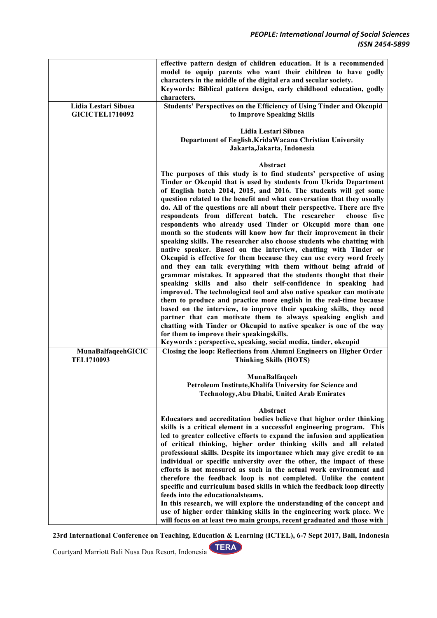|                                                | effective pattern design of children education. It is a recommended<br>model to equip parents who want their children to have godly<br>characters in the middle of the digital era and secular society.<br>Keywords: Biblical pattern design, early childhood education, godly<br>characters.                                                                                                                                                                                                                                                                                                                                                                                                                                                                                                                                                                                                                                                                                                                                                                                                                                                                                                                                                                                                                                                                                                                                                                                                          |
|------------------------------------------------|--------------------------------------------------------------------------------------------------------------------------------------------------------------------------------------------------------------------------------------------------------------------------------------------------------------------------------------------------------------------------------------------------------------------------------------------------------------------------------------------------------------------------------------------------------------------------------------------------------------------------------------------------------------------------------------------------------------------------------------------------------------------------------------------------------------------------------------------------------------------------------------------------------------------------------------------------------------------------------------------------------------------------------------------------------------------------------------------------------------------------------------------------------------------------------------------------------------------------------------------------------------------------------------------------------------------------------------------------------------------------------------------------------------------------------------------------------------------------------------------------------|
| Lidia Lestari Sibuea<br><b>GICICTEL1710092</b> | Students' Perspectives on the Efficiency of Using Tinder and Okcupid<br>to Improve Speaking Skills                                                                                                                                                                                                                                                                                                                                                                                                                                                                                                                                                                                                                                                                                                                                                                                                                                                                                                                                                                                                                                                                                                                                                                                                                                                                                                                                                                                                     |
|                                                | Lidia Lestari Sibuea<br>Department of English, Krida Wacana Christian University<br>Jakarta, Jakarta, Indonesia                                                                                                                                                                                                                                                                                                                                                                                                                                                                                                                                                                                                                                                                                                                                                                                                                                                                                                                                                                                                                                                                                                                                                                                                                                                                                                                                                                                        |
|                                                | Abstract<br>The purposes of this study is to find students' perspective of using<br>Tinder or Okcupid that is used by students from Ukrida Department<br>of English batch 2014, 2015, and 2016. The students will get some<br>question related to the benefit and what conversation that they usually<br>do. All of the questions are all about their perspective. There are five<br>respondents from different batch. The researcher<br>choose five<br>respondents who already used Tinder or Okcupid more than one<br>month so the students will know how far their improvement in their<br>speaking skills. The researcher also choose students who chatting with<br>native speaker. Based on the interview, chatting with Tinder or<br>Okcupid is effective for them because they can use every word freely<br>and they can talk everything with them without being afraid of<br>grammar mistakes. It appeared that the students thought that their<br>speaking skills and also their self-confidence in speaking had<br>improved. The technological tool and also native speaker can motivate<br>them to produce and practice more english in the real-time because<br>based on the interview, to improve their speaking skills, they need<br>partner that can motivate them to always speaking english and<br>chatting with Tinder or Okcupid to native speaker is one of the way<br>for them to improve their speakingskills.<br>Keywords: perspective, speaking, social media, tinder, okcupid |
| MunaBalfaqeehGICIC<br><b>TEL1710093</b>        | Closing the loop: Reflections from Alumni Engineers on Higher Order<br><b>Thinking Skills (HOTS)</b>                                                                                                                                                                                                                                                                                                                                                                                                                                                                                                                                                                                                                                                                                                                                                                                                                                                                                                                                                                                                                                                                                                                                                                                                                                                                                                                                                                                                   |
|                                                | MunaBalfaqeeh<br>Petroleum Institute, Khalifa University for Science and<br>Technology, Abu Dhabi, United Arab Emirates                                                                                                                                                                                                                                                                                                                                                                                                                                                                                                                                                                                                                                                                                                                                                                                                                                                                                                                                                                                                                                                                                                                                                                                                                                                                                                                                                                                |
|                                                | Abstract<br>Educators and accreditation bodies believe that higher order thinking<br>skills is a critical element in a successful engineering program. This<br>led to greater collective efforts to expand the infusion and application<br>of critical thinking, higher order thinking skills and all related<br>professional skills. Despite its importance which may give credit to an<br>individual or specific university over the other, the impact of these<br>efforts is not measured as such in the actual work environment and<br>therefore the feedback loop is not completed. Unlike the content<br>specific and curriculum based skills in which the feedback loop directly<br>feeds into the educationalsteams.<br>In this research, we will explore the understanding of the concept and<br>use of higher order thinking skills in the engineering work place. We<br>will focus on at least two main groups, recent graduated and those with                                                                                                                                                                                                                                                                                                                                                                                                                                                                                                                                             |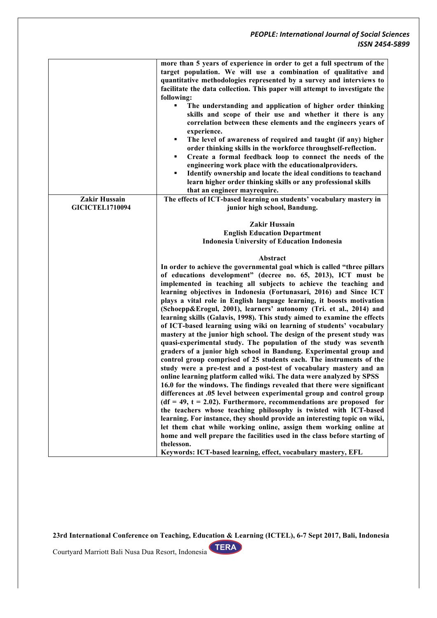|                        | more than 5 years of experience in order to get a full spectrum of the     |
|------------------------|----------------------------------------------------------------------------|
|                        | target population. We will use a combination of qualitative and            |
|                        | quantitative methodologies represented by a survey and interviews to       |
|                        | facilitate the data collection. This paper will attempt to investigate the |
|                        | following:                                                                 |
|                        | ٠<br>The understanding and application of higher order thinking            |
|                        | skills and scope of their use and whether it there is any                  |
|                        | correlation between these elements and the engineers years of              |
|                        | experience.                                                                |
|                        | The level of awareness of required and taught (if any) higher<br>٠         |
|                        | order thinking skills in the workforce throughself-reflection.             |
|                        | Create a formal feedback loop to connect the needs of the<br>٠             |
|                        | engineering work place with the educationalproviders.                      |
|                        | Identify ownership and locate the ideal conditions to teachand             |
|                        | learn higher order thinking skills or any professional skills              |
|                        | that an engineer mayrequire.                                               |
| Zakir Hussain          | The effects of ICT-based learning on students' vocabulary mastery in       |
| <b>GICICTEL1710094</b> | junior high school, Bandung.                                               |
|                        |                                                                            |
|                        | Zakir Hussain                                                              |
|                        | <b>English Education Department</b>                                        |
|                        | <b>Indonesia University of Education Indonesia</b>                         |
|                        |                                                                            |
|                        | Abstract                                                                   |
|                        | In order to achieve the governmental goal which is called "three pillars   |
|                        | of educations development" (decree no. 65, 2013), ICT must be              |
|                        | implemented in teaching all subjects to achieve the teaching and           |
|                        | learning objectives in Indonesia (Fortunasari, 2016) and Since ICT         |
|                        | plays a vital role in English language learning, it boosts motivation      |
|                        | (Schoepp&Erogul, 2001), learners' autonomy (Tri. et al., 2014) and         |
|                        | learning skills (Galavis, 1998). This study aimed to examine the effects   |
|                        | of ICT-based learning using wiki on learning of students' vocabulary       |
|                        | mastery at the junior high school. The design of the present study was     |
|                        | quasi-experimental study. The population of the study was seventh          |
|                        | graders of a junior high school in Bandung. Experimental group and         |
|                        | control group comprised of 25 students each. The instruments of the        |
|                        | study were a pre-test and a post-test of vocabulary mastery and an         |
|                        | online learning platform called wiki. The data were analyzed by SPSS       |
|                        | 16.0 for the windows. The findings revealed that there were significant    |
|                        | differences at .05 level between experimental group and control group      |
|                        | $(df = 49, t = 2.02)$ . Furthermore, recommendations are proposed for      |
|                        | the teachers whose teaching philosophy is twisted with ICT-based           |
|                        | learning. For instance, they should provide an interesting topic on wiki,  |
|                        | let them chat while working online, assign them working online at          |
|                        | home and well prepare the facilities used in the class before starting of  |
|                        | thelesson.                                                                 |
|                        | Keywords: ICT-based learning, effect, vocabulary mastery, EFL              |

**23rd International Conference on Teaching, Education & Learning (ICTEL), 6-7 Sept 2017, Bali, Indonesia TERA**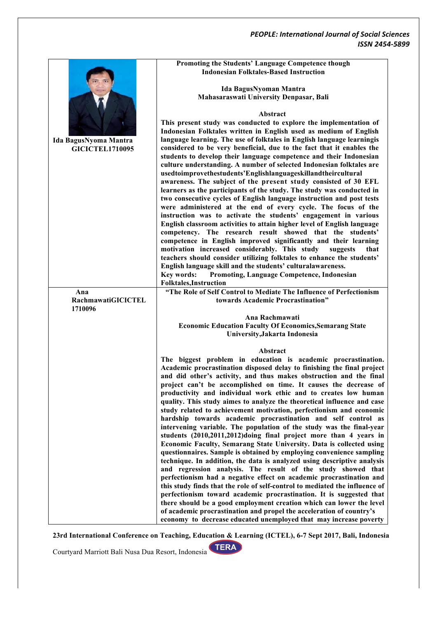|                        | Promoting the Students' Language Competence though                                                                                          |
|------------------------|---------------------------------------------------------------------------------------------------------------------------------------------|
|                        | <b>Indonesian Folktales-Based Instruction</b>                                                                                               |
|                        |                                                                                                                                             |
|                        | Ida BagusNyoman Mantra                                                                                                                      |
|                        | Mahasaraswati University Denpasar, Bali                                                                                                     |
|                        |                                                                                                                                             |
|                        | Abstract                                                                                                                                    |
|                        | This present study was conducted to explore the implementation of                                                                           |
|                        | Indonesian Folktales written in English used as medium of English                                                                           |
| Ida BagusNyoma Mantra  | language learning. The use of folktales in English language learningis                                                                      |
| <b>GICICTEL1710095</b> | considered to be very beneficial, due to the fact that it enables the                                                                       |
|                        | students to develop their language competence and their Indonesian                                                                          |
|                        | culture understanding. A number of selected Indonesian folktales are                                                                        |
|                        | usedtoimprovethestudents'Englishlanguageskillandtheircultural                                                                               |
|                        | awareness. The subject of the present study consisted of 30 EFL                                                                             |
|                        | learners as the participants of the study. The study was conducted in                                                                       |
|                        | two consecutive cycles of English language instruction and post tests                                                                       |
|                        | were administered at the end of every cycle. The focus of the                                                                               |
|                        | instruction was to activate the students' engagement in various                                                                             |
|                        | English classroom activities to attain higher level of English language<br>competency. The research result showed that the students'        |
|                        | competence in English improved significantly and their learning                                                                             |
|                        | motivation increased considerably. This study<br>suggests<br>that                                                                           |
|                        | teachers should consider utilizing folktales to enhance the students'                                                                       |
|                        | English language skill and the students' culturalawareness.                                                                                 |
|                        | Promoting, Language Competence, Indonesian<br><b>Key words:</b>                                                                             |
|                        | <b>Folktales, Instruction</b>                                                                                                               |
| Ana                    | "The Role of Self Control to Mediate The Influence of Perfectionism                                                                         |
| RachmawatiGICICTEL     | towards Academic Procrastination"                                                                                                           |
| 1710096                |                                                                                                                                             |
|                        | Ana Rachmawati                                                                                                                              |
|                        | <b>Economic Education Faculty Of Economics, Semarang State</b>                                                                              |
|                        | University, Jakarta Indonesia                                                                                                               |
|                        | Abstract                                                                                                                                    |
|                        | The biggest problem in education is academic procrastination.                                                                               |
|                        | Academic procrastination disposed delay to finishing the final project                                                                      |
|                        | and did other's activity, and thus makes obstruction and the final                                                                          |
|                        | project can't be accomplished on time. It causes the decrease of                                                                            |
|                        | productivity and individual work ethic and to creates low human                                                                             |
|                        | quality. This study aimes to analyze the theoretical influence and case                                                                     |
|                        | study related to achievement motivation, perfectionism and economic                                                                         |
|                        | hardship towards academic procrastination and self control as                                                                               |
|                        | intervening variable. The population of the study was the final-year                                                                        |
|                        | students (2010,2011,2012) doing final project more than 4 years in                                                                          |
|                        | Economic Faculty, Semarang State University. Data is collected using                                                                        |
|                        | questionnaires. Sample is obtained by employing convenience sampling                                                                        |
|                        | technique. In addition, the data is analyzed using descriptive analysis                                                                     |
|                        | and regression analysis. The result of the study showed that                                                                                |
|                        | perfectionism had a negative effect on academic procrastination and                                                                         |
|                        | this study finds that the role of self-control to mediated the influence of                                                                 |
|                        | perfectionism toward academic procrastination. It is suggested that<br>there should be a good employment creation which can lower the level |
|                        | of academic procrastination and propel the acceleration of country's                                                                        |
|                        | economy to decrease educated unemployed that may increase poverty                                                                           |

**23rd International Conference on Teaching, Education & Learning (ICTEL), 6-7 Sept 2017, Bali, Indonesia**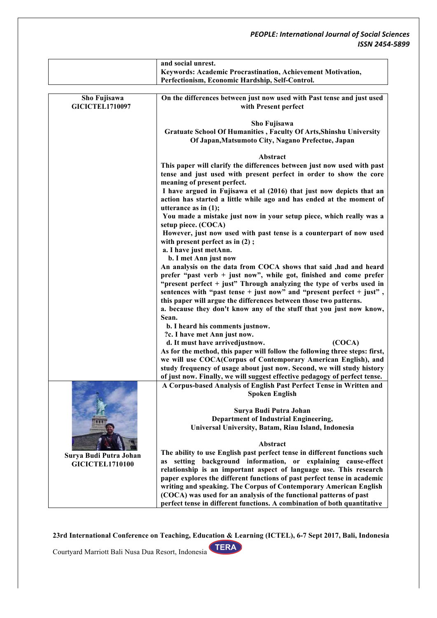|                        | and social unrest.                                                          |
|------------------------|-----------------------------------------------------------------------------|
|                        | Keywords: Academic Procrastination, Achievement Motivation,                 |
|                        | Perfectionism, Economic Hardship, Self-Control.                             |
|                        |                                                                             |
| Sho Fujisawa           | On the differences between just now used with Past tense and just used      |
| <b>GICICTEL1710097</b> | with Present perfect                                                        |
|                        |                                                                             |
|                        |                                                                             |
|                        | Sho Fujisawa                                                                |
|                        | <b>Gratuate School Of Humanities, Faculty Of Arts, Shinshu University</b>   |
|                        | Of Japan, Matsumoto City, Nagano Prefectue, Japan                           |
|                        |                                                                             |
|                        | Abstract                                                                    |
|                        | This paper will clarify the differences between just now used with past     |
|                        | tense and just used with present perfect in order to show the core          |
|                        | meaning of present perfect.                                                 |
|                        | I have argued in Fujisawa et al (2016) that just now depicts that an        |
|                        | action has started a little while ago and has ended at the moment of        |
|                        | utterance as in $(1)$ ;                                                     |
|                        | You made a mistake just now in your setup piece, which really was a         |
|                        | setup piece. (COCA)                                                         |
|                        | However, just now used with past tense is a counterpart of now used         |
|                        | with present perfect as in $(2)$ ;                                          |
|                        | a. I have just metAnn.                                                      |
|                        |                                                                             |
|                        | b. I met Ann just now                                                       |
|                        | An analysis on the data from COCA shows that said , had and heard           |
|                        | prefer "past verb + just now", while got, finished and come prefer          |
|                        | "present perfect + just" Through analyzing the type of verbs used in        |
|                        | sentences with "past tense $+$ just now" and "present perfect $+$ just",    |
|                        | this paper will argue the differences between those two patterns.           |
|                        | a. because they don't know any of the stuff that you just now know,         |
|                        | Sean.                                                                       |
|                        | b. I heard his comments justnow.                                            |
|                        | ?c. I have met Ann just now.                                                |
|                        | d. It must have arrivedjustnow.<br>(COCA)                                   |
|                        | As for the method, this paper will follow the following three steps: first, |
|                        | we will use COCA(Corpus of Contemporary American English), and              |
|                        | study frequency of usage about just now. Second, we will study history      |
|                        | of just now. Finally, we will suggest effective pedagogy of perfect tense.  |
|                        | A Corpus-based Analysis of English Past Perfect Tense in Written and        |
|                        | <b>Spoken English</b>                                                       |
|                        |                                                                             |
|                        |                                                                             |
|                        | Surya Budi Putra Johan                                                      |
|                        | Department of Industrial Engineering,                                       |
|                        | Universal University, Batam, Riau Island, Indonesia                         |
|                        |                                                                             |
|                        | Abstract                                                                    |
| Surya Budi Putra Johan | The ability to use English past perfect tense in different functions such   |
| <b>GICICTEL1710100</b> | setting background information, or explaining cause-effect<br>as            |
|                        | relationship is an important aspect of language use. This research          |
|                        | paper explores the different functions of past perfect tense in academic    |
|                        | writing and speaking. The Corpus of Contemporary American English           |
|                        | (COCA) was used for an analysis of the functional patterns of past          |
|                        | perfect tense in different functions. A combination of both quantitative    |

**23rd International Conference on Teaching, Education & Learning (ICTEL), 6-7 Sept 2017, Bali, Indonesia TERA** Courtyard Marriott Bali Nusa Dua Resort, Indonesia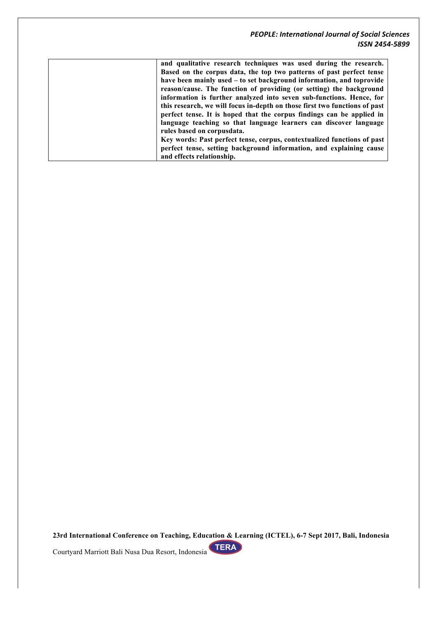| and qualitative research techniques was used during the research.          |
|----------------------------------------------------------------------------|
| Based on the corpus data, the top two patterns of past perfect tense       |
| have been mainly used – to set background information, and toprovide       |
| reason/cause. The function of providing (or setting) the background        |
| information is further analyzed into seven sub-functions. Hence, for       |
| this research, we will focus in-depth on those first two functions of past |
| perfect tense. It is hoped that the corpus findings can be applied in      |
| language teaching so that language learners can discover language          |
| rules based on corpusdata.                                                 |
| Key words: Past perfect tense, corpus, contextualized functions of past    |
| perfect tense, setting background information, and explaining cause        |
| and effects relationship.                                                  |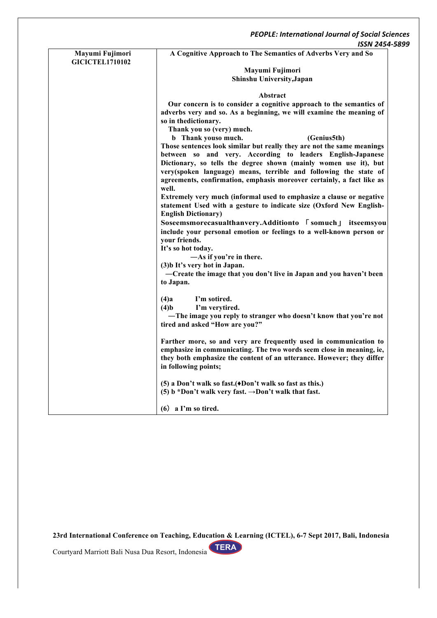|                                           | IJJIV <i>2454</i>                                                      |
|-------------------------------------------|------------------------------------------------------------------------|
| Mayumi Fujimori<br><b>GICICTEL1710102</b> | A Cognitive Approach to The Semantics of Adverbs Very and So           |
|                                           | Mayumi Fujimori                                                        |
|                                           | Shinshu University, Japan                                              |
|                                           |                                                                        |
|                                           | Abstract                                                               |
|                                           | Our concern is to consider a cognitive approach to the semantics of    |
|                                           | adverbs very and so. As a beginning, we will examine the meaning of    |
|                                           | so in thedictionary.                                                   |
|                                           | Thank you so (very) much.                                              |
|                                           | b Thank youso much.<br>(Genius5th)                                     |
|                                           | Those sentences look similar but really they are not the same meanings |
|                                           | between so and very. According to leaders English-Japanese             |
|                                           | Dictionary, so tells the degree shown (mainly women use it), but       |
|                                           | very(spoken language) means, terrible and following the state of       |
|                                           | agreements, confirmation, emphasis moreover certainly, a fact like as  |
|                                           | well.                                                                  |
|                                           | Extremely very much (informal used to emphasize a clause or negative   |
|                                           | statement Used with a gesture to indicate size (Oxford New English-    |
|                                           | <b>English Dictionary)</b>                                             |
|                                           | Soseemsmorecasualthanvery.Additionto 「somuch」 itseemsyou               |
|                                           | include your personal emotion or feelings to a well-known person or    |
|                                           | your friends.                                                          |
|                                           | It's so hot today.                                                     |
|                                           | -As if you're in there.                                                |
|                                           | (3) It's very hot in Japan.                                            |
|                                           | -Create the image that you don't live in Japan and you haven't been    |
|                                           |                                                                        |
|                                           | to Japan.                                                              |
|                                           | (4)a<br>I'm sotired.                                                   |
|                                           | $(4)$ <sub>b</sub><br>I'm verytired.                                   |
|                                           |                                                                        |
|                                           | —The image you reply to stranger who doesn't know that you're not      |
|                                           | tired and asked "How are you?"                                         |
|                                           | Farther more, so and very are frequently used in communication to      |
|                                           | emphasize in communicating. The two words seem close in meaning, ie,   |
|                                           |                                                                        |
|                                           | they both emphasize the content of an utterance. However; they differ  |
|                                           | in following points;                                                   |
|                                           | $(5)$ a Don't walk so fast. ( $\bullet$ Don't walk so fast as this.)   |
|                                           | (5) b *Don't walk very fast. $\rightarrow$ Don't walk that fast.       |
|                                           |                                                                        |
|                                           | $(6)$ a I'm so tired.                                                  |
|                                           |                                                                        |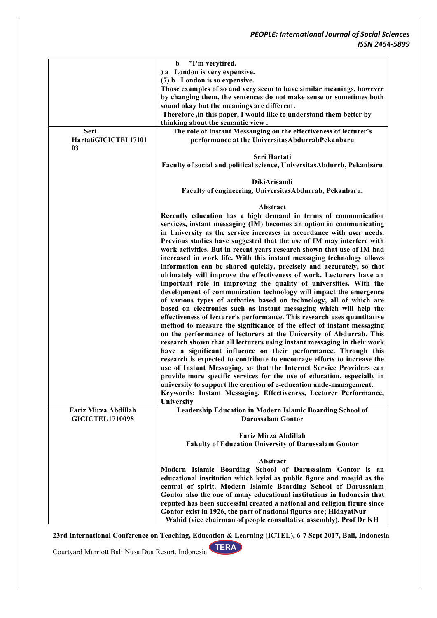|                                        | $\mathbf b$<br>*I'm verytired.                                                                                                                                                                                 |
|----------------------------------------|----------------------------------------------------------------------------------------------------------------------------------------------------------------------------------------------------------------|
|                                        | ) a London is very expensive.                                                                                                                                                                                  |
|                                        | (7) b London is so expensive.                                                                                                                                                                                  |
|                                        | Those examples of so and very seem to have similar meanings, however                                                                                                                                           |
|                                        | by changing them, the sentences do not make sense or sometimes both                                                                                                                                            |
|                                        | sound okay but the meanings are different.                                                                                                                                                                     |
|                                        | Therefore , in this paper, I would like to understand them better by                                                                                                                                           |
|                                        | thinking about the semantic view.                                                                                                                                                                              |
| Seri                                   | The role of Instant Messanging on the effectiveness of lecturer's                                                                                                                                              |
| HartatiGICICTEL17101<br>0 <sub>3</sub> | performance at the UniversitasAbdurrabPekanbaru                                                                                                                                                                |
|                                        | Seri Hartati                                                                                                                                                                                                   |
|                                        | Faculty of social and political science, UniversitasAbdurrb, Pekanbaru                                                                                                                                         |
|                                        |                                                                                                                                                                                                                |
|                                        | DikiArisandi                                                                                                                                                                                                   |
|                                        | Faculty of engineering, UniversitasAbdurrab, Pekanbaru,                                                                                                                                                        |
|                                        |                                                                                                                                                                                                                |
|                                        | Abstract                                                                                                                                                                                                       |
|                                        | Recently education has a high demand in terms of communication<br>services, instant messaging (IM) becomes an option in communicating<br>in University as the service increases in accordance with user needs. |
|                                        | Previous studies have suggested that the use of IM may interfere with<br>work activities. But in recent years research shown that use of IM had                                                                |
|                                        | increased in work life. With this instant messaging technology allows                                                                                                                                          |
|                                        | information can be shared quickly, precisely and accurately, so that<br>ultimately will improve the effectiveness of work. Lecturers have an                                                                   |
|                                        | important role in improving the quality of universities. With the<br>development of communication technology will impact the emergence                                                                         |
|                                        | of various types of activities based on technology, all of which are                                                                                                                                           |
|                                        | based on electronics such as instant messaging which will help the<br>effectiveness of lecturer's performance. This research uses quantitative                                                                 |
|                                        | method to measure the significance of the effect of instant messaging<br>on the performance of lecturers at the University of Abdurrab. This                                                                   |
|                                        | research shown that all lecturers using instant messaging in their work<br>have a significant influence on their performance. Through this                                                                     |
|                                        | research is expected to contribute to encourage efforts to increase the                                                                                                                                        |
|                                        | use of Instant Messaging, so that the Internet Service Providers can                                                                                                                                           |
|                                        | provide more specific services for the use of education, especially in                                                                                                                                         |
|                                        | university to support the creation of e-education ande-management.                                                                                                                                             |
|                                        | Keywords: Instant Messaging, Effectiveness, Lecturer Performance,                                                                                                                                              |
|                                        | University                                                                                                                                                                                                     |
| Fariz Mirza Abdillah                   | Leadership Education in Modern Islamic Boarding School of                                                                                                                                                      |
| <b>GICICTEL1710098</b>                 | <b>Darussalam Gontor</b>                                                                                                                                                                                       |
|                                        | Fariz Mirza Abdillah                                                                                                                                                                                           |
|                                        | <b>Fakulty of Education University of Darussalam Gontor</b>                                                                                                                                                    |
|                                        |                                                                                                                                                                                                                |
|                                        | Abstract                                                                                                                                                                                                       |
|                                        | Modern Islamic Boarding School of Darussalam Gontor is an                                                                                                                                                      |
|                                        | educational institution which kyiai as public figure and masjid as the                                                                                                                                         |
|                                        | central of spirit. Modern Islamic Boarding School of Darussalam                                                                                                                                                |
|                                        | Gontor also the one of many educational institutions in Indonesia that                                                                                                                                         |
|                                        | reputed has been successful created a national and religion figure since                                                                                                                                       |
|                                        | Gontor exist in 1926, the part of national figures are; HidayatNur                                                                                                                                             |
|                                        | Wahid (vice chairman of people consultative assembly), Prof Dr KH                                                                                                                                              |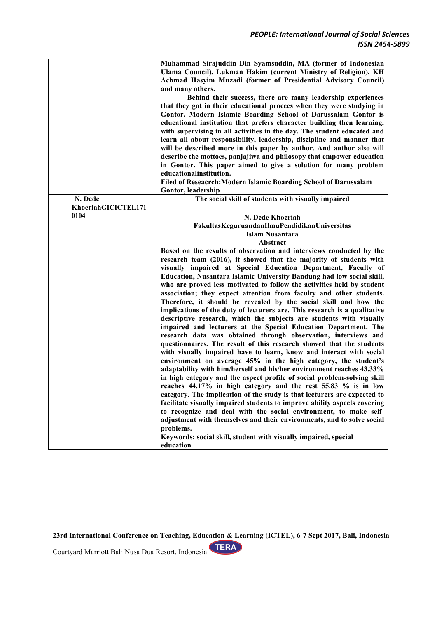|                     | Muhammad Sirajuddin Din Syamsuddin, MA (former of Indonesian              |
|---------------------|---------------------------------------------------------------------------|
|                     | Ulama Council), Lukman Hakim (current Ministry of Religion), KH           |
|                     | Achmad Hasyim Muzadi (former of Presidential Advisory Council)            |
|                     | and many others.                                                          |
|                     | Behind their success, there are many leadership experiences               |
|                     | that they got in their educational procces when they were studying in     |
|                     | Gontor. Modern Islamic Boarding School of Darussalam Gontor is            |
|                     | educational institution that prefers character building then learning,    |
|                     | with supervising in all activities in the day. The student educated and   |
|                     | learn all about responsibility, leadership, discipline and manner that    |
|                     | will be described more in this paper by author. And author also will      |
|                     | describe the mottoes, panjajiwa and philosopy that empower education      |
|                     | in Gontor. This paper aimed to give a solution for many problem           |
|                     | educationalinstitution.                                                   |
|                     | Filed of Reseacrch: Modern Islamic Boarding School of Darussalam          |
|                     | Gontor, leadership                                                        |
| N. Dede             | The social skill of students with visually impaired                       |
| KhoeriahGICICTEL171 |                                                                           |
| 0104                | N. Dede Khoeriah                                                          |
|                     | FakultasKeguruandanIlmuPendidikanUniversitas                              |
|                     | <b>Islam Nusantara</b>                                                    |
|                     | Abstract                                                                  |
|                     | Based on the results of observation and interviews conducted by the       |
|                     | research team (2016), it showed that the majority of students with        |
|                     | visually impaired at Special Education Department, Faculty of             |
|                     | Education, Nusantara Islamic University Bandung had low social skill,     |
|                     | who are proved less motivated to follow the activities held by student    |
|                     | association; they expect attention from faculty and other students.       |
|                     | Therefore, it should be revealed by the social skill and how the          |
|                     | implications of the duty of lecturers are. This research is a qualitative |
|                     | descriptive research, which the subjects are students with visually       |
|                     |                                                                           |
|                     | impaired and lecturers at the Special Education Department. The           |
|                     | research data was obtained through observation, interviews and            |
|                     | questionnaires. The result of this research showed that the students      |
|                     | with visually impaired have to learn, know and interact with social       |
|                     | environment on average 45% in the high category, the student's            |
|                     | adaptability with him/herself and his/her environment reaches 43.33%      |
|                     | in high category and the aspect profile of social problem-solving skill   |
|                     | reaches 44.17% in high category and the rest 55.83 % is in low            |
|                     | category. The implication of the study is that lecturers are expected to  |
|                     | facilitate visually impaired students to improve ability aspects covering |
|                     | to recognize and deal with the social environment, to make self-          |
|                     | adjustment with themselves and their environments, and to solve social    |
|                     | problems.                                                                 |
|                     | Keywords: social skill, student with visually impaired, special           |
|                     | education                                                                 |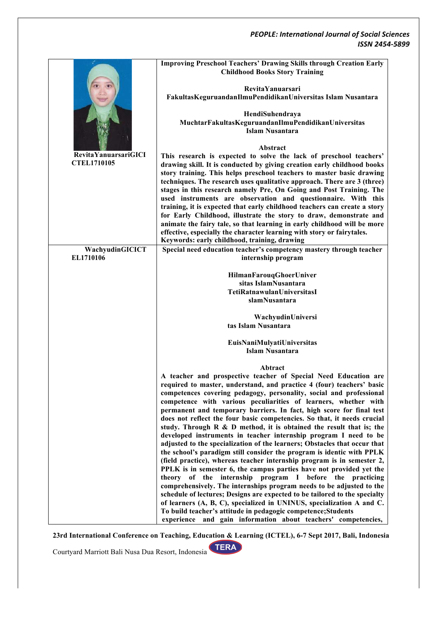|                             | <b>Improving Preschool Teachers' Drawing Skills through Creation Early</b>                                                                      |
|-----------------------------|-------------------------------------------------------------------------------------------------------------------------------------------------|
|                             | <b>Childhood Books Story Training</b>                                                                                                           |
|                             |                                                                                                                                                 |
|                             | <b>RevitaYanuarsari</b><br>FakultasKeguruandanIlmuPendidikanUniversitas Islam Nusantara                                                         |
|                             |                                                                                                                                                 |
|                             | HendiSuhendraya                                                                                                                                 |
|                             | MuchtarFakultasKeguruandanIlmuPendidikanUniversitas                                                                                             |
|                             | <b>Islam Nusantara</b>                                                                                                                          |
|                             | Abstract                                                                                                                                        |
| <b>RevitaYanuarsariGICI</b> | This research is expected to solve the lack of preschool teachers'                                                                              |
| <b>CTEL1710105</b>          | drawing skill. It is conducted by giving creation early childhood books                                                                         |
|                             | story training. This helps preschool teachers to master basic drawing                                                                           |
|                             | techniques. The research uses qualitative approach. There are 3 (three)                                                                         |
|                             | stages in this research namely Pre, On Going and Post Training. The<br>used instruments are observation and questionnaire. With this            |
|                             | training, it is expected that early childhood teachers can create a story                                                                       |
|                             | for Early Childhood, illustrate the story to draw, demonstrate and                                                                              |
|                             | animate the fairy tale, so that learning in early childhood will be more                                                                        |
|                             | effective, especially the character learning with story or fairytales.                                                                          |
| WachyudinGICICT             | Keywords: early childhood, training, drawing<br>Special need education teacher's competency mastery through teacher                             |
| EL1710106                   | internship program                                                                                                                              |
|                             |                                                                                                                                                 |
|                             | HilmanFarouqGhoerUniver                                                                                                                         |
|                             | sitas IslamNusantara<br>TetiRatnawulanUniversitasI                                                                                              |
|                             | slamNusantara                                                                                                                                   |
|                             |                                                                                                                                                 |
|                             | WachyudinUniversi                                                                                                                               |
|                             | tas Islam Nusantara                                                                                                                             |
|                             | EuisNaniMulyatiUniversitas                                                                                                                      |
|                             | <b>Islam Nusantara</b>                                                                                                                          |
|                             |                                                                                                                                                 |
|                             | Abtract<br>A teacher and prospective teacher of Special Need Education are                                                                      |
|                             | required to master, understand, and practice 4 (four) teachers' basic                                                                           |
|                             | competences covering pedagogy, personality, social and professional                                                                             |
|                             | competence with various peculiarities of learners, whether with                                                                                 |
|                             | permanent and temporary barriers. In fact, high score for final test<br>does not reflect the four basic competencies. So that, it needs crucial |
|                             | study. Through R & D method, it is obtained the result that is; the                                                                             |
|                             | developed instruments in teacher internship program I need to be                                                                                |
|                             | adjusted to the specialization of the learners; Obstacles that occur that                                                                       |
|                             | the school's paradigm still consider the program is identic with PPLK                                                                           |
|                             | (field practice), whereas teacher internship program is in semester 2,<br>PPLK is in semester 6, the campus parties have not provided yet the   |
|                             | theory of the internship<br>program I before the practicing                                                                                     |
|                             | comprehensively. The internships program needs to be adjusted to the                                                                            |
|                             | schedule of lectures; Designs are expected to be tailored to the specialty                                                                      |
|                             | of learners (A, B, C), specialized in UNINUS, specialization A and C.                                                                           |
|                             | To build teacher's attitude in pedagogic competence; Students<br>experience and gain information about teachers' competencies,                  |

**23rd International Conference on Teaching, Education & Learning (ICTEL), 6-7 Sept 2017, Bali, Indonesia**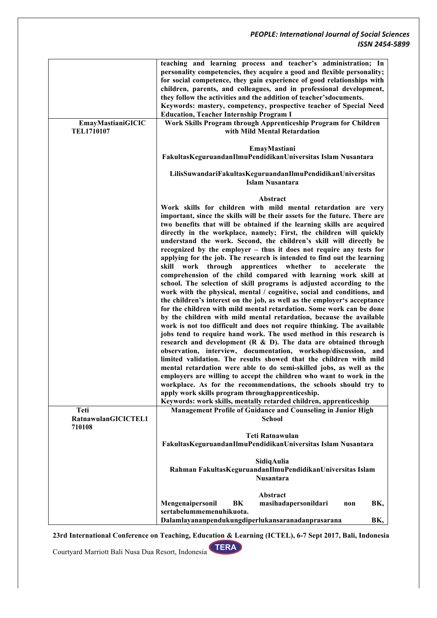| EmayMastianiGICIC<br><b>TEL1710107</b> | teaching and learning process and teacher's administration; In<br>personality competencies, they acquire a good and flexible personality;<br>for social competence, they gain experience of good relationships with<br>children, parents, and colleagues, and in professional development,<br>they follow the activities and the addition of teacher's documents.<br>Keywords: mastery, competency, prospective teacher of Special Need<br><b>Education, Teacher Internship Program I</b><br>Work Skills Program through Apprenticeship Program for Children<br>with Mild Mental Retardation                                                                                                                                                                                                                                                                                                                                                                                                                                                                                                                                                                                                                                                                                                                                                                                                                                                                                                                                                                                                                                                                                                                                                                              |
|----------------------------------------|---------------------------------------------------------------------------------------------------------------------------------------------------------------------------------------------------------------------------------------------------------------------------------------------------------------------------------------------------------------------------------------------------------------------------------------------------------------------------------------------------------------------------------------------------------------------------------------------------------------------------------------------------------------------------------------------------------------------------------------------------------------------------------------------------------------------------------------------------------------------------------------------------------------------------------------------------------------------------------------------------------------------------------------------------------------------------------------------------------------------------------------------------------------------------------------------------------------------------------------------------------------------------------------------------------------------------------------------------------------------------------------------------------------------------------------------------------------------------------------------------------------------------------------------------------------------------------------------------------------------------------------------------------------------------------------------------------------------------------------------------------------------------|
|                                        | EmayMastiani<br>FakultasKeguruandanIlmuPendidikanUniversitas Islam Nusantara                                                                                                                                                                                                                                                                                                                                                                                                                                                                                                                                                                                                                                                                                                                                                                                                                                                                                                                                                                                                                                                                                                                                                                                                                                                                                                                                                                                                                                                                                                                                                                                                                                                                                              |
|                                        | LilisSuwandariFakultasKeguruandanIlmuPendidikanUniversitas<br><b>Islam Nusantara</b>                                                                                                                                                                                                                                                                                                                                                                                                                                                                                                                                                                                                                                                                                                                                                                                                                                                                                                                                                                                                                                                                                                                                                                                                                                                                                                                                                                                                                                                                                                                                                                                                                                                                                      |
|                                        | Abstract<br>Work skills for children with mild mental retardation are very<br>important, since the skills will be their assets for the future. There are<br>two benefits that will be obtained if the learning skills are acquired<br>directly in the workplace, namely; First, the children will quickly<br>understand the work. Second, the children's skill will directly be<br>recognized by the employer - thus it does not require any tests for<br>applying for the job. The research is intended to find out the learning<br>work through<br>apprentices whether<br>skill<br>to<br>accelerate<br>the<br>comprehension of the child compared with learning work skill at<br>school. The selection of skill programs is adjusted according to the<br>work with the physical, mental / cognitive, social and conditions, and<br>the children's interest on the job, as well as the employer's acceptance<br>for the children with mild mental retardation. Some work can be done<br>by the children with mild mental retardation, because the available<br>work is not too difficult and does not require thinking. The available<br>jobs tend to require hand work. The used method in this research is<br>research and development $(R & D)$ . The data are obtained through<br>observation, interview, documentation, workshop/discussion, and<br>limited validation. The results showed that the children with mild<br>mental retardation were able to do semi-skilled jobs, as well as the<br>employers are willing to accept the children who want to work in the<br>workplace. As for the recommendations, the schools should try to<br>apply work skills program throughapprenticeship.<br>Keywords: work skills, mentally retarded children, apprenticeship |
| Teti<br>RatnawulanGICICTEL1<br>710108  | Management Profile of Guidance and Counseling in Junior High<br><b>School</b>                                                                                                                                                                                                                                                                                                                                                                                                                                                                                                                                                                                                                                                                                                                                                                                                                                                                                                                                                                                                                                                                                                                                                                                                                                                                                                                                                                                                                                                                                                                                                                                                                                                                                             |
|                                        | Teti Ratnawulan<br>FakultasKeguruandanIlmuPendidikanUniversitas Islam Nusantara                                                                                                                                                                                                                                                                                                                                                                                                                                                                                                                                                                                                                                                                                                                                                                                                                                                                                                                                                                                                                                                                                                                                                                                                                                                                                                                                                                                                                                                                                                                                                                                                                                                                                           |
|                                        | SidiqAulia<br>Rahman FakultasKeguruandanIlmuPendidikanUniversitas Islam<br><b>Nusantara</b>                                                                                                                                                                                                                                                                                                                                                                                                                                                                                                                                                                                                                                                                                                                                                                                                                                                                                                                                                                                                                                                                                                                                                                                                                                                                                                                                                                                                                                                                                                                                                                                                                                                                               |
|                                        | Abstract<br>Mengenaipersonil<br>BK<br>masihadapersonildari<br>BK,<br>non<br>sertabelummemenuhikuota.<br>Dalamlayananpendukungdiperlukansaranadanprasarana<br>BK,                                                                                                                                                                                                                                                                                                                                                                                                                                                                                                                                                                                                                                                                                                                                                                                                                                                                                                                                                                                                                                                                                                                                                                                                                                                                                                                                                                                                                                                                                                                                                                                                          |

**23rd International Conference on Teaching, Education & Learning (ICTEL), 6-7 Sept 2017, Bali, Indonesia**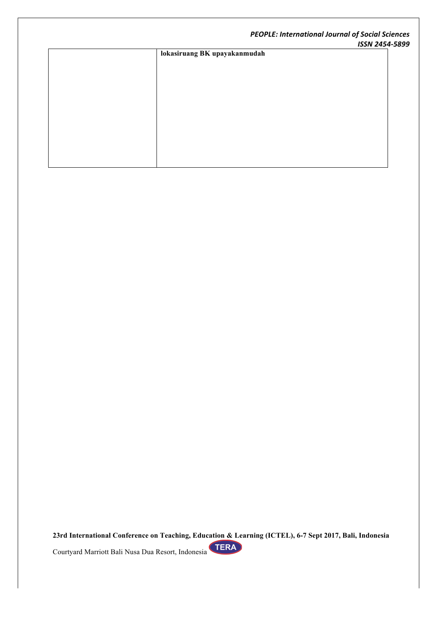| lokasiruang BK upayakanmudah |  |
|------------------------------|--|
|                              |  |
|                              |  |
|                              |  |
|                              |  |
|                              |  |
|                              |  |
|                              |  |
|                              |  |
|                              |  |
|                              |  |

**23rd International Conference on Teaching, Education & Learning (ICTEL), 6-7 Sept 2017, Bali, Indonesia TERA** Courtyard Marriott Bali Nusa Dua Resort, Indonesia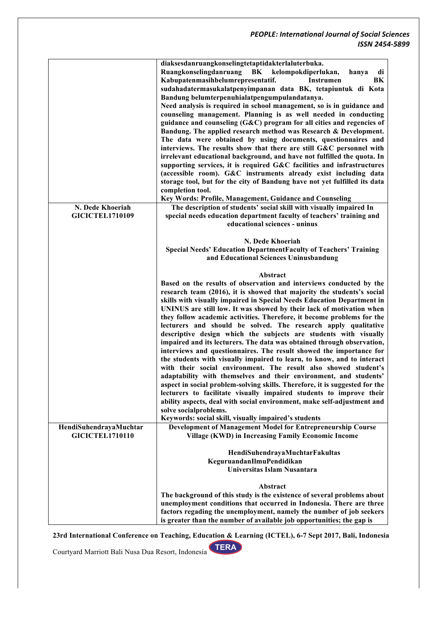|                                            | diaksesdanruangkonselingtetaptidakterlaluterbuka.<br>Ruangkonselingdanruang BK kelompokdiperlukan,<br>hanya<br>di<br>BK<br>Kabupatenmasihbelumrepresentatif.<br><b>Instrumen</b><br>sudahadatermasukalatpenyimpanan data BK, tetapiuntuk di Kota<br>Bandung belumterpenuhialatpengumpulandatanya.<br>Need analysis is required in school management, so is in guidance and<br>counseling management. Planning is as well needed in conducting<br>guidance and counseling (G&C) program for all cities and regencies of<br>Bandung. The applied research method was Research & Development. |
|--------------------------------------------|--------------------------------------------------------------------------------------------------------------------------------------------------------------------------------------------------------------------------------------------------------------------------------------------------------------------------------------------------------------------------------------------------------------------------------------------------------------------------------------------------------------------------------------------------------------------------------------------|
|                                            | The data were obtained by using documents, questionnaires and<br>interviews. The results show that there are still G&C personnel with<br>irrelevant educational background, and have not fulfilled the quota. In<br>supporting services, it is required G&C facilities and infrastructures                                                                                                                                                                                                                                                                                                 |
|                                            | (accessible room). G&C instruments already exist including data<br>storage tool, but for the city of Bandung have not yet fulfilled its data<br>completion tool.                                                                                                                                                                                                                                                                                                                                                                                                                           |
|                                            | Key Words: Profile, Management, Guidance and Counseling                                                                                                                                                                                                                                                                                                                                                                                                                                                                                                                                    |
| N. Dede Khoeriah<br><b>GICICTEL1710109</b> | The description of students' social skill with visually impaired In<br>special needs education department faculty of teachers' training and<br>educational sciences - uninus                                                                                                                                                                                                                                                                                                                                                                                                               |
|                                            | N. Dede Khoeriah<br><b>Special Needs' Education DepartmentFaculty of Teachers' Training</b>                                                                                                                                                                                                                                                                                                                                                                                                                                                                                                |
|                                            | and Educational Sciences Uninusbandung                                                                                                                                                                                                                                                                                                                                                                                                                                                                                                                                                     |
|                                            | Abstract                                                                                                                                                                                                                                                                                                                                                                                                                                                                                                                                                                                   |
|                                            | Based on the results of observation and interviews conducted by the<br>research team (2016), it is showed that majority the students's social<br>skills with visually impaired in Special Needs Education Department in<br>UNINUS are still low. It was showed by their lack of motivation when                                                                                                                                                                                                                                                                                            |
|                                            | they follow academic activities. Therefore, it become problems for the<br>lecturers and should be solved. The research apply qualitative<br>descriptive design which the subjects are students with visually<br>impaired and its lecturers. The data was obtained through observation,<br>interviews and questionnaires. The result showed the importance for                                                                                                                                                                                                                              |
|                                            | the students with visually impaired to learn, to know, and to interact<br>with their social environment. The result also showed student's                                                                                                                                                                                                                                                                                                                                                                                                                                                  |
|                                            | adaptability with themselves and their environment, and students'                                                                                                                                                                                                                                                                                                                                                                                                                                                                                                                          |
|                                            | aspect in social problem-solving skills. Therefore, it is suggested for the<br>lecturers to facilitate visually impaired students to improve their                                                                                                                                                                                                                                                                                                                                                                                                                                         |
|                                            | ability aspects, deal with social environment, make self-adjustment and                                                                                                                                                                                                                                                                                                                                                                                                                                                                                                                    |
|                                            | solve socialproblems.                                                                                                                                                                                                                                                                                                                                                                                                                                                                                                                                                                      |
| HendiSuhendrayaMuchtar                     | Keywords: social skill, visually impaired's students<br>Development of Management Model for Entrepreneurship Course                                                                                                                                                                                                                                                                                                                                                                                                                                                                        |
| <b>GICICTEL1710110</b>                     | <b>Village (KWD) in Increasing Family Economic Income</b>                                                                                                                                                                                                                                                                                                                                                                                                                                                                                                                                  |
|                                            | HendiSuhendrayaMuchtarFakultas                                                                                                                                                                                                                                                                                                                                                                                                                                                                                                                                                             |
|                                            | KeguruandanIlmuPendidikan                                                                                                                                                                                                                                                                                                                                                                                                                                                                                                                                                                  |
|                                            | Universitas Islam Nusantara                                                                                                                                                                                                                                                                                                                                                                                                                                                                                                                                                                |
|                                            | Abstract                                                                                                                                                                                                                                                                                                                                                                                                                                                                                                                                                                                   |
|                                            | The background of this study is the existence of several problems about                                                                                                                                                                                                                                                                                                                                                                                                                                                                                                                    |
|                                            | unemployment conditions that occurred in Indonesia. There are three                                                                                                                                                                                                                                                                                                                                                                                                                                                                                                                        |
|                                            | factors regading the unemployment, namely the number of job seekers                                                                                                                                                                                                                                                                                                                                                                                                                                                                                                                        |
|                                            | is greater than the number of available job opportunities; the gap is                                                                                                                                                                                                                                                                                                                                                                                                                                                                                                                      |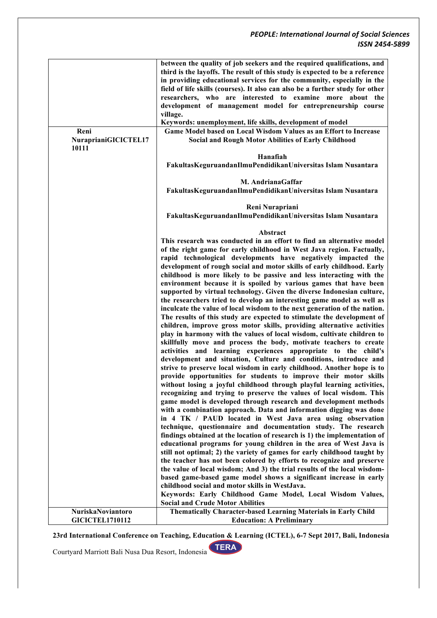|                                             | between the quality of job seekers and the required qualifications, and<br>third is the layoffs. The result of this study is expected to be a reference<br>in providing educational services for the community, especially in the                                                                                                                                                                                                                                                                                                                                                                                                                                                                                                                                                                                                                                                                                                                                                                                                           |
|---------------------------------------------|---------------------------------------------------------------------------------------------------------------------------------------------------------------------------------------------------------------------------------------------------------------------------------------------------------------------------------------------------------------------------------------------------------------------------------------------------------------------------------------------------------------------------------------------------------------------------------------------------------------------------------------------------------------------------------------------------------------------------------------------------------------------------------------------------------------------------------------------------------------------------------------------------------------------------------------------------------------------------------------------------------------------------------------------|
|                                             | field of life skills (courses). It also can also be a further study for other<br>researchers, who are interested to examine more about the                                                                                                                                                                                                                                                                                                                                                                                                                                                                                                                                                                                                                                                                                                                                                                                                                                                                                                  |
|                                             | development of management model for entrepreneurship course<br>village.                                                                                                                                                                                                                                                                                                                                                                                                                                                                                                                                                                                                                                                                                                                                                                                                                                                                                                                                                                     |
|                                             | Keywords: unemployment, life skills, development of model                                                                                                                                                                                                                                                                                                                                                                                                                                                                                                                                                                                                                                                                                                                                                                                                                                                                                                                                                                                   |
| Reni<br>NuraprianiGICICTEL17<br>10111       | Game Model based on Local Wisdom Values as an Effort to Increase<br><b>Social and Rough Motor Abilities of Early Childhood</b>                                                                                                                                                                                                                                                                                                                                                                                                                                                                                                                                                                                                                                                                                                                                                                                                                                                                                                              |
|                                             | Hanafiah<br>FakultasKeguruandanIlmuPendidikanUniversitas Islam Nusantara                                                                                                                                                                                                                                                                                                                                                                                                                                                                                                                                                                                                                                                                                                                                                                                                                                                                                                                                                                    |
|                                             | M. AndrianaGaffar<br>FakultasKeguruandanIlmuPendidikanUniversitas Islam Nusantara                                                                                                                                                                                                                                                                                                                                                                                                                                                                                                                                                                                                                                                                                                                                                                                                                                                                                                                                                           |
|                                             | Reni Nurapriani<br>FakultasKeguruandanIlmuPendidikanUniversitas Islam Nusantara                                                                                                                                                                                                                                                                                                                                                                                                                                                                                                                                                                                                                                                                                                                                                                                                                                                                                                                                                             |
|                                             | Abstract                                                                                                                                                                                                                                                                                                                                                                                                                                                                                                                                                                                                                                                                                                                                                                                                                                                                                                                                                                                                                                    |
|                                             | This research was conducted in an effort to find an alternative model<br>of the right game for early childhood in West Java region. Factually,<br>rapid technological developments have negatively impacted the<br>development of rough social and motor skills of early childhood. Early<br>childhood is more likely to be passive and less interacting with the<br>environment because it is spoiled by various games that have been<br>supported by virtual technology. Given the diverse Indonesian culture,<br>the researchers tried to develop an interesting game model as well as<br>inculcate the value of local wisdom to the next generation of the nation.<br>The results of this study are expected to stimulate the development of<br>children, improve gross motor skills, providing alternative activities<br>play in harmony with the values of local wisdom, cultivate children to<br>skillfully move and process the body, motivate teachers to create<br>activities and learning experiences appropriate to the child's |
|                                             | development and situation, Culture and conditions, introduce and<br>strive to preserve local wisdom in early childhood. Another hope is to<br>provide opportunities for students to improve their motor skills<br>without losing a joyful childhood through playful learning activities,<br>recognizing and trying to preserve the values of local wisdom. This<br>game model is developed through research and development methods                                                                                                                                                                                                                                                                                                                                                                                                                                                                                                                                                                                                         |
|                                             | with a combination approach. Data and information digging was done<br>in 4 TK / PAUD located in West Java area using observation<br>technique, questionnaire and documentation study. The research<br>findings obtained at the location of research is 1) the implementation of<br>educational programs for young children in the area of West Java is                                                                                                                                                                                                                                                                                                                                                                                                                                                                                                                                                                                                                                                                                      |
|                                             | still not optimal; 2) the variety of games for early childhood taught by<br>the teacher has not been colored by efforts to recognize and preserve<br>the value of local wisdom; And 3) the trial results of the local wisdom-                                                                                                                                                                                                                                                                                                                                                                                                                                                                                                                                                                                                                                                                                                                                                                                                               |
|                                             | based game-based game model shows a significant increase in early<br>childhood social and motor skills in WestJava.<br>Keywords: Early Childhood Game Model, Local Wisdom Values,                                                                                                                                                                                                                                                                                                                                                                                                                                                                                                                                                                                                                                                                                                                                                                                                                                                           |
|                                             | <b>Social and Crude Motor Abilities</b>                                                                                                                                                                                                                                                                                                                                                                                                                                                                                                                                                                                                                                                                                                                                                                                                                                                                                                                                                                                                     |
| NuriskaNoviantoro<br><b>GICICTEL1710112</b> | Thematically Character-based Learning Materials in Early Child<br><b>Education: A Preliminary</b>                                                                                                                                                                                                                                                                                                                                                                                                                                                                                                                                                                                                                                                                                                                                                                                                                                                                                                                                           |

**23rd International Conference on Teaching, Education & Learning (ICTEL), 6-7 Sept 2017, Bali, Indonesia**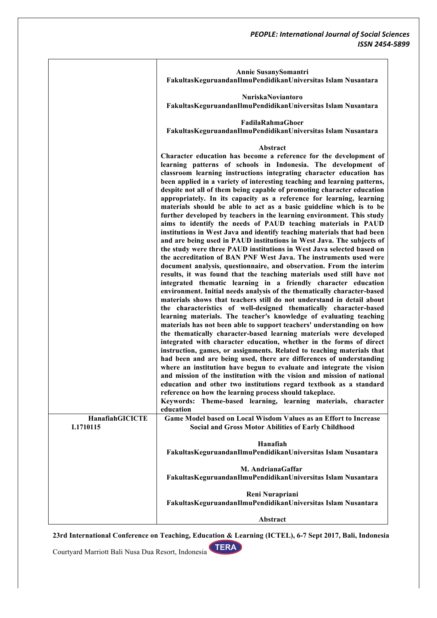|                        | Annie SusanySomantri<br>FakultasKeguruandanIlmuPendidikanUniversitas Islam Nusantara<br>NuriskaNoviantoro<br>FakultasKeguruandanIlmuPendidikanUniversitas Islam Nusantara<br>FadilaRahmaGhoer<br>FakultasKeguruandanIlmuPendidikanUniversitas Islam Nusantara                                                                                                                                                                                                                                                                                                                                                                                                                                                                                                                                                                                                                                                                                                                                                                                                                                                                                                                                                                                                                                                                                                                                                                                                                                                                                                                                                                                                                                                                                                                                                                                                                                                                                                                                                                                                                                                                                                                                                                                                                                       |
|------------------------|-----------------------------------------------------------------------------------------------------------------------------------------------------------------------------------------------------------------------------------------------------------------------------------------------------------------------------------------------------------------------------------------------------------------------------------------------------------------------------------------------------------------------------------------------------------------------------------------------------------------------------------------------------------------------------------------------------------------------------------------------------------------------------------------------------------------------------------------------------------------------------------------------------------------------------------------------------------------------------------------------------------------------------------------------------------------------------------------------------------------------------------------------------------------------------------------------------------------------------------------------------------------------------------------------------------------------------------------------------------------------------------------------------------------------------------------------------------------------------------------------------------------------------------------------------------------------------------------------------------------------------------------------------------------------------------------------------------------------------------------------------------------------------------------------------------------------------------------------------------------------------------------------------------------------------------------------------------------------------------------------------------------------------------------------------------------------------------------------------------------------------------------------------------------------------------------------------------------------------------------------------------------------------------------------------|
| <b>HanafiahGICICTE</b> | Abstract<br>Character education has become a reference for the development of<br>learning patterns of schools in Indonesia. The development of<br>classroom learning instructions integrating character education has<br>been applied in a variety of interesting teaching and learning patterns,<br>despite not all of them being capable of promoting character education<br>appropriately. In its capacity as a reference for learning, learning<br>materials should be able to act as a basic guideline which is to be<br>further developed by teachers in the learning environment. This study<br>aims to identify the needs of PAUD teaching materials in PAUD<br>institutions in West Java and identify teaching materials that had been<br>and are being used in PAUD institutions in West Java. The subjects of<br>the study were three PAUD institutions in West Java selected based on<br>the accreditation of BAN PNF West Java. The instruments used were<br>document analysis, questionnaire, and observation. From the interim<br>results, it was found that the teaching materials used still have not<br>integrated thematic learning in a friendly character education<br>environment. Initial needs analysis of the thematically character-based<br>materials shows that teachers still do not understand in detail about<br>the characteristics of well-designed thematically character-based<br>learning materials. The teacher's knowledge of evaluating teaching<br>materials has not been able to support teachers' understanding on how<br>the thematically character-based learning materials were developed<br>integrated with character education, whether in the forms of direct<br>instruction, games, or assignments. Related to teaching materials that<br>had been and are being used, there are differences of understanding<br>where an institution have begun to evaluate and integrate the vision<br>and mission of the institution with the vision and mission of national<br>education and other two institutions regard textbook as a standard<br>reference on how the learning process should takeplace.<br>Keywords: Theme-based learning, learning materials, character<br>education<br>Game Model based on Local Wisdom Values as an Effort to Increase |
| L1710115               | <b>Social and Gross Motor Abilities of Early Childhood</b><br>Hanafiah                                                                                                                                                                                                                                                                                                                                                                                                                                                                                                                                                                                                                                                                                                                                                                                                                                                                                                                                                                                                                                                                                                                                                                                                                                                                                                                                                                                                                                                                                                                                                                                                                                                                                                                                                                                                                                                                                                                                                                                                                                                                                                                                                                                                                              |
|                        | FakultasKeguruandanIlmuPendidikanUniversitas Islam Nusantara<br>M. AndrianaGaffar<br>FakultasKeguruandanIlmuPendidikanUniversitas Islam Nusantara<br>Reni Nurapriani<br>FakultasKeguruandanIlmuPendidikanUniversitas Islam Nusantara                                                                                                                                                                                                                                                                                                                                                                                                                                                                                                                                                                                                                                                                                                                                                                                                                                                                                                                                                                                                                                                                                                                                                                                                                                                                                                                                                                                                                                                                                                                                                                                                                                                                                                                                                                                                                                                                                                                                                                                                                                                                |
|                        | Abstract                                                                                                                                                                                                                                                                                                                                                                                                                                                                                                                                                                                                                                                                                                                                                                                                                                                                                                                                                                                                                                                                                                                                                                                                                                                                                                                                                                                                                                                                                                                                                                                                                                                                                                                                                                                                                                                                                                                                                                                                                                                                                                                                                                                                                                                                                            |

**23rd International Conference on Teaching, Education & Learning (ICTEL), 6-7 Sept 2017, Bali, Indonesia**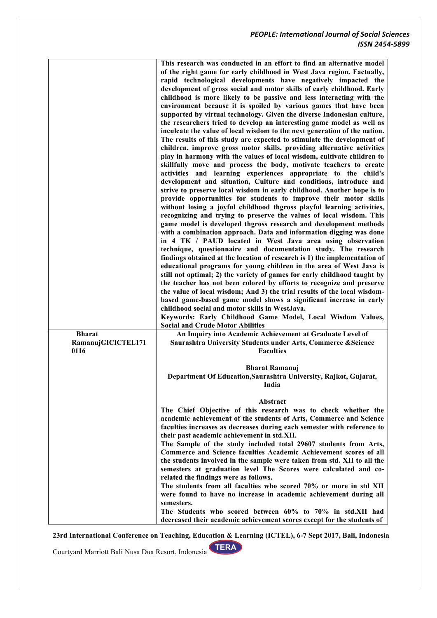|                    | This research was conducted in an effort to find an alternative model                                               |
|--------------------|---------------------------------------------------------------------------------------------------------------------|
|                    | of the right game for early childhood in West Java region. Factually,                                               |
|                    | rapid technological developments have negatively impacted the                                                       |
|                    | development of gross social and motor skills of early childhood. Early                                              |
|                    | childhood is more likely to be passive and less interacting with the                                                |
|                    | environment because it is spoiled by various games that have been                                                   |
|                    | supported by virtual technology. Given the diverse Indonesian culture,                                              |
|                    | the researchers tried to develop an interesting game model as well as                                               |
|                    | inculcate the value of local wisdom to the next generation of the nation.                                           |
|                    | The results of this study are expected to stimulate the development of                                              |
|                    | children, improve gross motor skills, providing alternative activities                                              |
|                    | play in harmony with the values of local wisdom, cultivate children to                                              |
|                    | skillfully move and process the body, motivate teachers to create                                                   |
|                    | activities and learning experiences appropriate to the child's                                                      |
|                    | development and situation, Culture and conditions, introduce and                                                    |
|                    | strive to preserve local wisdom in early childhood. Another hope is to                                              |
|                    | provide opportunities for students to improve their motor skills                                                    |
|                    | without losing a joyful childhood thgross playful learning activities,                                              |
|                    | recognizing and trying to preserve the values of local wisdom. This                                                 |
|                    | game model is developed thgross research and development methods                                                    |
|                    | with a combination approach. Data and information digging was done                                                  |
|                    | in 4 TK / PAUD located in West Java area using observation                                                          |
|                    | technique, questionnaire and documentation study. The research                                                      |
|                    | findings obtained at the location of research is 1) the implementation of                                           |
|                    | educational programs for young children in the area of West Java is                                                 |
|                    | still not optimal; 2) the variety of games for early childhood taught by                                            |
|                    | the teacher has not been colored by efforts to recognize and preserve                                               |
|                    | the value of local wisdom; And 3) the trial results of the local wisdom-                                            |
|                    | based game-based game model shows a significant increase in early<br>childhood social and motor skills in WestJava. |
|                    | Keywords: Early Childhood Game Model, Local Wisdom Values,                                                          |
|                    | <b>Social and Crude Motor Abilities</b>                                                                             |
| <b>Bharat</b>      | An Inquiry into Academic Achievement at Graduate Level of                                                           |
| RamanujGICICTEL171 | Saurashtra University Students under Arts, Commerce & Science                                                       |
| 0116               | <b>Faculties</b>                                                                                                    |
|                    |                                                                                                                     |
|                    | <b>Bharat Ramanuj</b>                                                                                               |
|                    | Department Of Education, Saurashtra University, Rajkot, Gujarat,                                                    |
|                    | India                                                                                                               |
|                    | Abstract                                                                                                            |
|                    | The Chief Objective of this research was to check whether the                                                       |
|                    | academic achievement of the students of Arts, Commerce and Science                                                  |
|                    | faculties increases as decreases during each semester with reference to                                             |
|                    | their past academic achievement in std.XII.                                                                         |
|                    | The Sample of the study included total 29607 students from Arts,                                                    |
|                    | Commerce and Science faculties Academic Achievement scores of all                                                   |
|                    | the students involved in the sample were taken from std. XII to all the                                             |
|                    | semesters at graduation level The Scores were calculated and co-                                                    |
|                    | related the findings were as follows.<br>The students from all faculties who scored 70% or more in std XII          |
|                    | were found to have no increase in academic achievement during all                                                   |
|                    | semesters.                                                                                                          |
|                    | The Students who scored between 60% to 70% in std.XII had                                                           |
|                    | decreased their academic achievement scores except for the students of                                              |

**23rd International Conference on Teaching, Education & Learning (ICTEL), 6-7 Sept 2017, Bali, Indonesia**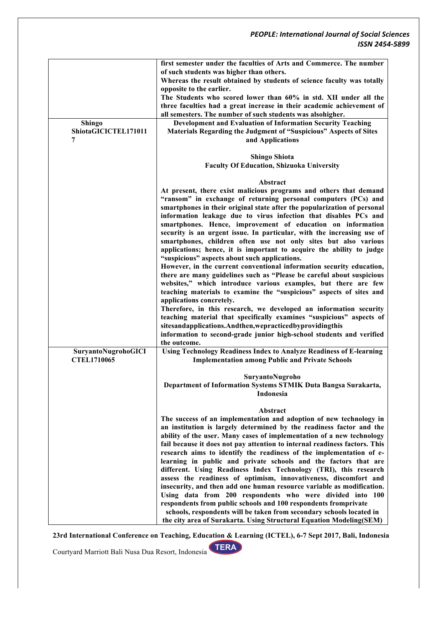|                           | first semester under the faculties of Arts and Commerce. The number                                                                |
|---------------------------|------------------------------------------------------------------------------------------------------------------------------------|
|                           | of such students was higher than others.                                                                                           |
|                           | Whereas the result obtained by students of science faculty was totally                                                             |
|                           | opposite to the earlier.                                                                                                           |
|                           | The Students who scored lower than 60% in std. XII under all the                                                                   |
|                           | three faculties had a great increase in their academic achievement of                                                              |
|                           | all semesters. The number of such students was alsohigher.                                                                         |
| <b>Shingo</b>             | Development and Evaluation of Information Security Teaching                                                                        |
| ShiotaGICICTEL171011<br>7 | Materials Regarding the Judgment of "Suspicious" Aspects of Sites<br>and Applications                                              |
|                           |                                                                                                                                    |
|                           | <b>Shingo Shiota</b>                                                                                                               |
|                           | <b>Faculty Of Education, Shizuoka University</b>                                                                                   |
|                           | Abstract                                                                                                                           |
|                           | At present, there exist malicious programs and others that demand                                                                  |
|                           | "ransom" in exchange of returning personal computers (PCs) and                                                                     |
|                           | smartphones in their original state after the popularization of personal                                                           |
|                           | information leakage due to virus infection that disables PCs and                                                                   |
|                           | smartphones. Hence, improvement of education on information                                                                        |
|                           | security is an urgent issue. In particular, with the increasing use of                                                             |
|                           | smartphones, children often use not only sites but also various                                                                    |
|                           | applications; hence, it is important to acquire the ability to judge                                                               |
|                           | "suspicious" aspects about such applications.                                                                                      |
|                           | However, in the current conventional information security education,                                                               |
|                           | there are many guidelines such as "Please be careful about suspicious                                                              |
|                           | websites," which introduce various examples, but there are few                                                                     |
|                           | teaching materials to examine the "suspicious" aspects of sites and                                                                |
|                           | applications concretely.                                                                                                           |
|                           | Therefore, in this research, we developed an information security                                                                  |
|                           | teaching material that specifically examines "suspicious" aspects of                                                               |
|                           | sitesandapplications.Andthen,wepracticedbyprovidingthis                                                                            |
|                           | information to second-grade junior high-school students and verified                                                               |
|                           | the outcome.                                                                                                                       |
| SuryantoNugrohoGICI       | <b>Using Technology Readiness Index to Analyze Readiness of E-learning</b>                                                         |
| <b>CTEL1710065</b>        | <b>Implementation among Public and Private Schools</b>                                                                             |
|                           |                                                                                                                                    |
|                           | SuryantoNugroho                                                                                                                    |
|                           | Department of Information Systems STMIK Duta Bangsa Surakarta,                                                                     |
|                           | Indonesia                                                                                                                          |
|                           |                                                                                                                                    |
|                           | Abstract                                                                                                                           |
|                           | The success of an implementation and adoption of new technology in                                                                 |
|                           | an institution is largely determined by the readiness factor and the                                                               |
|                           | ability of the user. Many cases of implementation of a new technology                                                              |
|                           | fail because it does not pay attention to internal readiness factors. This                                                         |
|                           | research aims to identify the readiness of the implementation of e-                                                                |
|                           | learning in public and private schools and the factors that are                                                                    |
|                           | different. Using Readiness Index Technology (TRI), this research                                                                   |
|                           | assess the readiness of optimism, innovativeness, discomfort and                                                                   |
|                           | insecurity, and then add one human resource variable as modification.<br>Using data from 200 respondents who were divided into 100 |
|                           |                                                                                                                                    |
|                           | respondents from public schools and 100 respondents from private                                                                   |
|                           | schools, respondents will be taken from secondary schools located in                                                               |
|                           | the city area of Surakarta. Using Structural Equation Modeling(SEM)                                                                |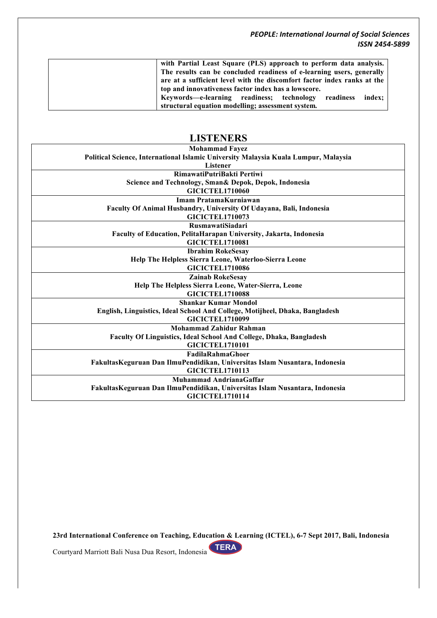| with Partial Least Square (PLS) approach to perform data analysis.      |
|-------------------------------------------------------------------------|
| The results can be concluded readiness of e-learning users, generally   |
| are at a sufficient level with the discomfort factor index ranks at the |
| top and innovativeness factor index has a lowscore.                     |
| Keywords—e-learning readiness; technology readiness<br>index:           |
| structural equation modelling; assessment system.                       |

### **LISTENERS**

| <b>Mohammad Fayez</b>                                                               |
|-------------------------------------------------------------------------------------|
| Political Science, International Islamic University Malaysia Kuala Lumpur, Malaysia |
| Listener                                                                            |
| RimawatiPutriBakti Pertiwi                                                          |
| Science and Technology, Sman& Depok, Depok, Indonesia                               |
| <b>GICICTEL1710060</b>                                                              |
| Imam PratamaKurniawan                                                               |
| Faculty Of Animal Husbandry, University Of Udayana, Bali, Indonesia                 |
| <b>GICICTEL1710073</b>                                                              |
| <b>RusmawatiSiadari</b>                                                             |
| Faculty of Education, PelitaHarapan University, Jakarta, Indonesia                  |
| <b>GICICTEL1710081</b>                                                              |
| <b>Ibrahim RokeSesay</b>                                                            |
| Help The Helpless Sierra Leone, Waterloo-Sierra Leone                               |
| <b>GICICTEL1710086</b>                                                              |
| <b>Zainab RokeSesay</b>                                                             |
| Help The Helpless Sierra Leone, Water-Sierra, Leone                                 |
| <b>GICICTEL1710088</b>                                                              |
| <b>Shankar Kumar Mondol</b>                                                         |
| English, Linguistics, Ideal School And College, Motijheel, Dhaka, Bangladesh        |
| <b>GICICTEL1710099</b>                                                              |
| Mohammad Zahidur Rahman                                                             |
| Faculty Of Linguistics, Ideal School And College, Dhaka, Bangladesh                 |
| <b>GICICTEL1710101</b>                                                              |
| <b>FadilaRahmaGhoer</b>                                                             |
| FakultasKeguruan Dan IlmuPendidikan, Universitas Islam Nusantara, Indonesia         |
| <b>GICICTEL1710113</b>                                                              |
| Muhammad AndrianaGaffar                                                             |
| FakultasKeguruan Dan IlmuPendidikan, Universitas Islam Nusantara, Indonesia         |
| <b>GICICTEL1710114</b>                                                              |
|                                                                                     |

**23rd International Conference on Teaching, Education & Learning (ICTEL), 6-7 Sept 2017, Bali, Indonesia**